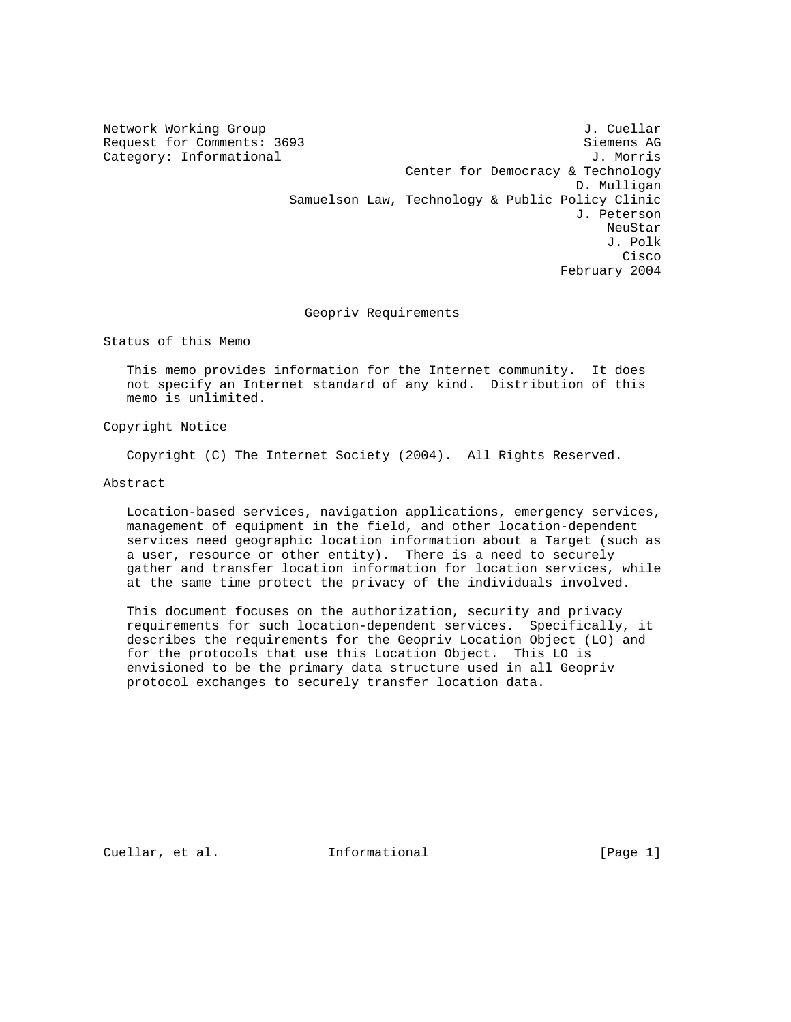Network Working Group J. Cuellar

Request for Comments: 3693 Siemens AG Category: Informational  $J.$  Morris Center for Democracy & Technology D. Mulligan Samuelson Law, Technology & Public Policy Clinic J. Peterson neuStar and the control of the control of the control of the control of the control of the control of the control of the control of the control of the control of the control of the control of the control of the control of J. Polk **Cisco and Security Construction of the Construction of the Construction of the Construction of the Construction** February 2004

# Geopriv Requirements

Status of this Memo

 This memo provides information for the Internet community. It does not specify an Internet standard of any kind. Distribution of this memo is unlimited.

Copyright Notice

Copyright (C) The Internet Society (2004). All Rights Reserved.

Abstract

 Location-based services, navigation applications, emergency services, management of equipment in the field, and other location-dependent services need geographic location information about a Target (such as a user, resource or other entity). There is a need to securely gather and transfer location information for location services, while at the same time protect the privacy of the individuals involved.

 This document focuses on the authorization, security and privacy requirements for such location-dependent services. Specifically, it describes the requirements for the Geopriv Location Object (LO) and for the protocols that use this Location Object. This LO is envisioned to be the primary data structure used in all Geopriv protocol exchanges to securely transfer location data.

Cuellar, et al. **Informational** [Page 1]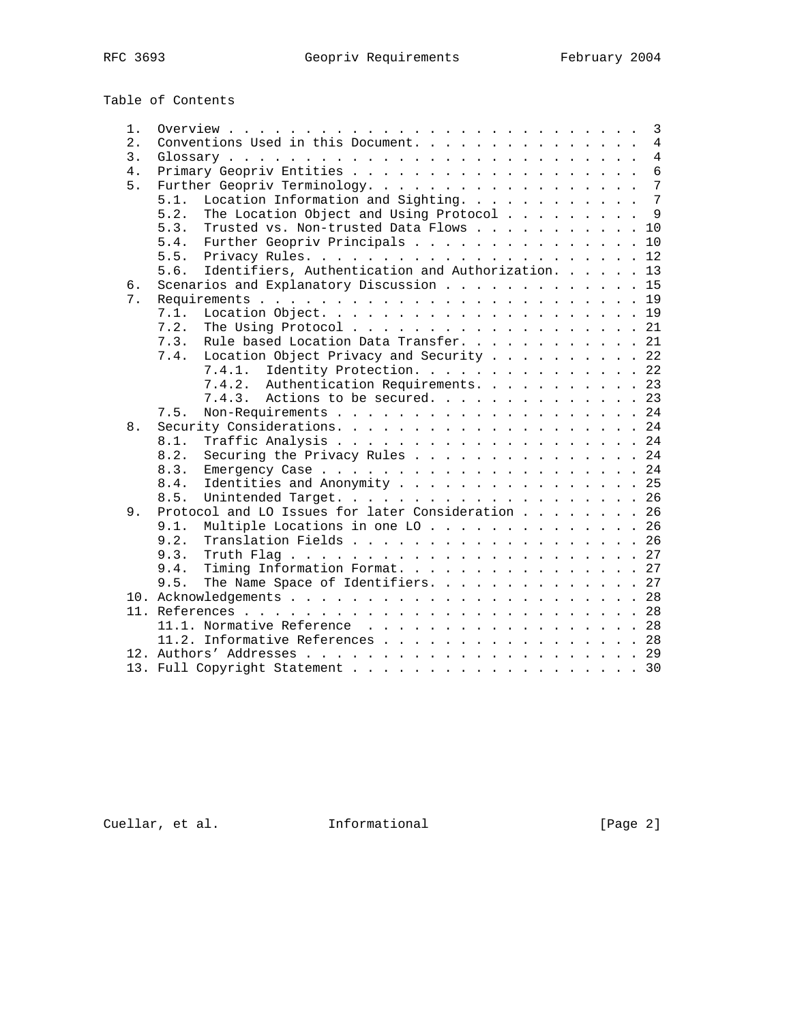Table of Contents 1. Overview . . . . . . . . . . . . . . . . . . . . . . . . . . . 3

| $2$ . | Conventions Used in this Document.<br>$\overline{4}$      |
|-------|-----------------------------------------------------------|
| 3.    |                                                           |
| 4.    | 6                                                         |
| 5.    | Further Geopriv Terminology. 7                            |
|       | Location Information and Sighting. 7<br>5.1.              |
|       | The Location Object and Using Protocol 9<br>5.2.          |
|       | Trusted vs. Non-trusted Data Flows 10<br>5.3.             |
|       | Further Geopriv Principals 10<br>5.4.                     |
|       | 5.5.                                                      |
|       |                                                           |
|       | Identifiers, Authentication and Authorization. 13<br>5.6. |
| 6.    | Scenarios and Explanatory Discussion 15                   |
| 7.    |                                                           |
|       | 7.1.                                                      |
|       | 7.2.<br>The Using Protocol 21                             |
|       | 7.3.<br>Rule based Location Data Transfer. 21             |
|       | Location Object Privacy and Security 22<br>7.4.           |
|       | 7.4.1. Identity Protection. 22                            |
|       | 7.4.2. Authentication Requirements. 23                    |
|       | 7.4.3. Actions to be secured. 23                          |
|       | 7.5.                                                      |
| 8.    |                                                           |
|       | 8.1.                                                      |
|       | 8.2.<br>Securing the Privacy Rules 24                     |
|       |                                                           |
|       | 8.3.                                                      |
|       | Identities and Anonymity 25<br>8.4.                       |
|       | 8.5.<br>Unintended Target. 26                             |
| 9.    | Protocol and LO Issues for later Consideration 26         |
|       | Multiple Locations in one LO 26<br>9.1.                   |
|       | Translation Fields 26<br>9.2.                             |
|       | 9.3.                                                      |
|       | Timing Information Format. 27<br>9.4.                     |
|       | The Name Space of Identifiers. 27<br>9.5.                 |
|       |                                                           |
|       |                                                           |
|       | 11.1. Normative Reference 28                              |
|       | 11.2. Informative References 28                           |
|       |                                                           |
|       |                                                           |
|       | 13. Full Copyright Statement 30                           |

Cuellar, et al. 1nformational [Page 2]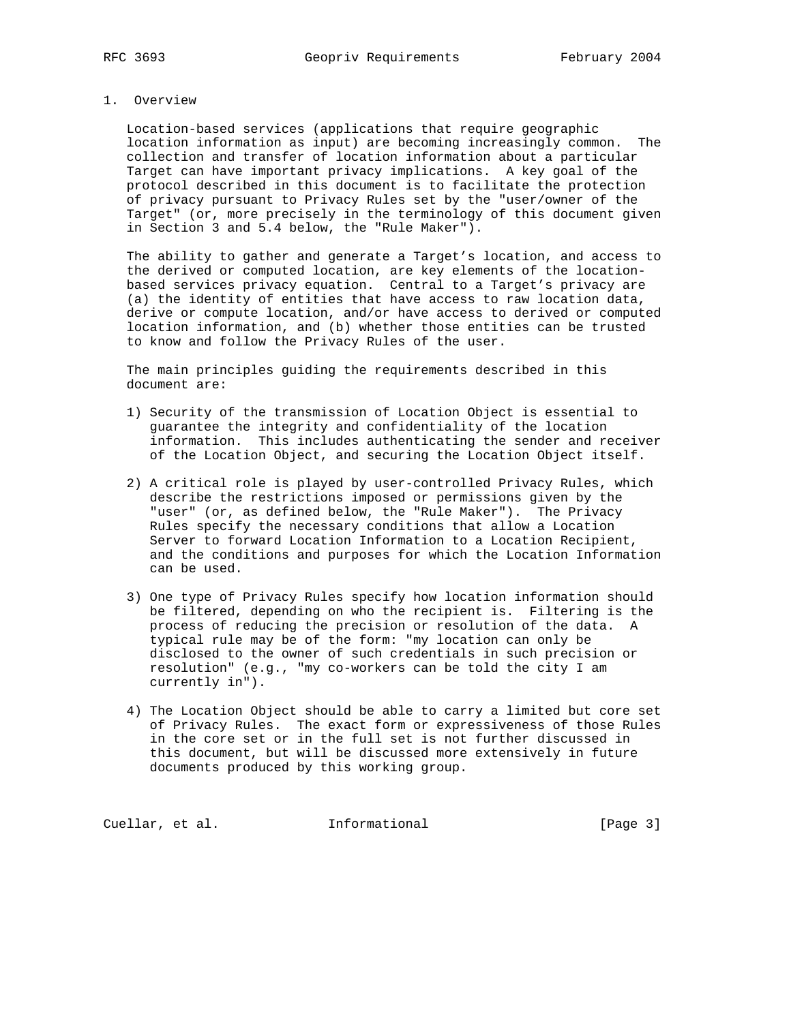#### 1. Overview

 Location-based services (applications that require geographic location information as input) are becoming increasingly common. The collection and transfer of location information about a particular Target can have important privacy implications. A key goal of the protocol described in this document is to facilitate the protection of privacy pursuant to Privacy Rules set by the "user/owner of the Target" (or, more precisely in the terminology of this document given in Section 3 and 5.4 below, the "Rule Maker").

 The ability to gather and generate a Target's location, and access to the derived or computed location, are key elements of the location based services privacy equation. Central to a Target's privacy are (a) the identity of entities that have access to raw location data, derive or compute location, and/or have access to derived or computed location information, and (b) whether those entities can be trusted to know and follow the Privacy Rules of the user.

 The main principles guiding the requirements described in this document are:

- 1) Security of the transmission of Location Object is essential to guarantee the integrity and confidentiality of the location information. This includes authenticating the sender and receiver of the Location Object, and securing the Location Object itself.
- 2) A critical role is played by user-controlled Privacy Rules, which describe the restrictions imposed or permissions given by the "user" (or, as defined below, the "Rule Maker"). The Privacy Rules specify the necessary conditions that allow a Location Server to forward Location Information to a Location Recipient, and the conditions and purposes for which the Location Information can be used.
- 3) One type of Privacy Rules specify how location information should be filtered, depending on who the recipient is. Filtering is the process of reducing the precision or resolution of the data. A typical rule may be of the form: "my location can only be disclosed to the owner of such credentials in such precision or resolution" (e.g., "my co-workers can be told the city I am currently in").
- 4) The Location Object should be able to carry a limited but core set of Privacy Rules. The exact form or expressiveness of those Rules in the core set or in the full set is not further discussed in this document, but will be discussed more extensively in future documents produced by this working group.

Cuellar, et al. 1nformational [Page 3]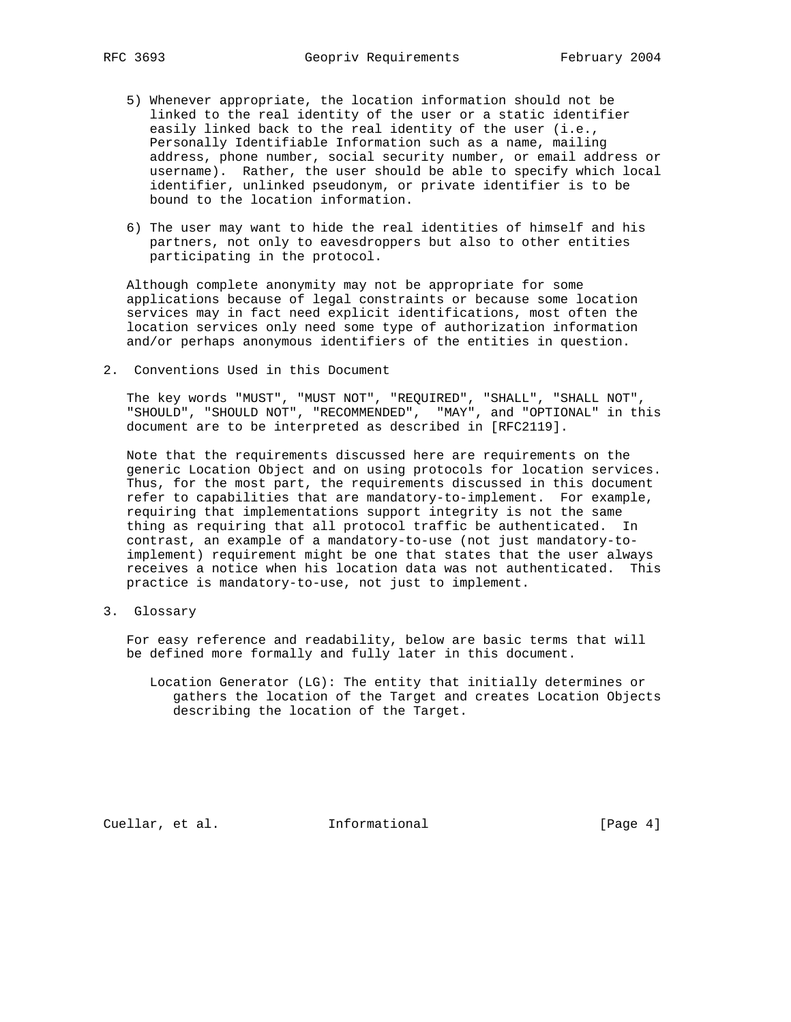- 5) Whenever appropriate, the location information should not be linked to the real identity of the user or a static identifier easily linked back to the real identity of the user (i.e., Personally Identifiable Information such as a name, mailing address, phone number, social security number, or email address or username). Rather, the user should be able to specify which local identifier, unlinked pseudonym, or private identifier is to be bound to the location information.
- 6) The user may want to hide the real identities of himself and his partners, not only to eavesdroppers but also to other entities participating in the protocol.

 Although complete anonymity may not be appropriate for some applications because of legal constraints or because some location services may in fact need explicit identifications, most often the location services only need some type of authorization information and/or perhaps anonymous identifiers of the entities in question.

2. Conventions Used in this Document

 The key words "MUST", "MUST NOT", "REQUIRED", "SHALL", "SHALL NOT", "SHOULD", "SHOULD NOT", "RECOMMENDED", "MAY", and "OPTIONAL" in this document are to be interpreted as described in [RFC2119].

 Note that the requirements discussed here are requirements on the generic Location Object and on using protocols for location services. Thus, for the most part, the requirements discussed in this document refer to capabilities that are mandatory-to-implement. For example, requiring that implementations support integrity is not the same thing as requiring that all protocol traffic be authenticated. In contrast, an example of a mandatory-to-use (not just mandatory-to implement) requirement might be one that states that the user always receives a notice when his location data was not authenticated. This practice is mandatory-to-use, not just to implement.

3. Glossary

 For easy reference and readability, below are basic terms that will be defined more formally and fully later in this document.

 Location Generator (LG): The entity that initially determines or gathers the location of the Target and creates Location Objects describing the location of the Target.

Cuellar, et al. **Informational** [Page 4]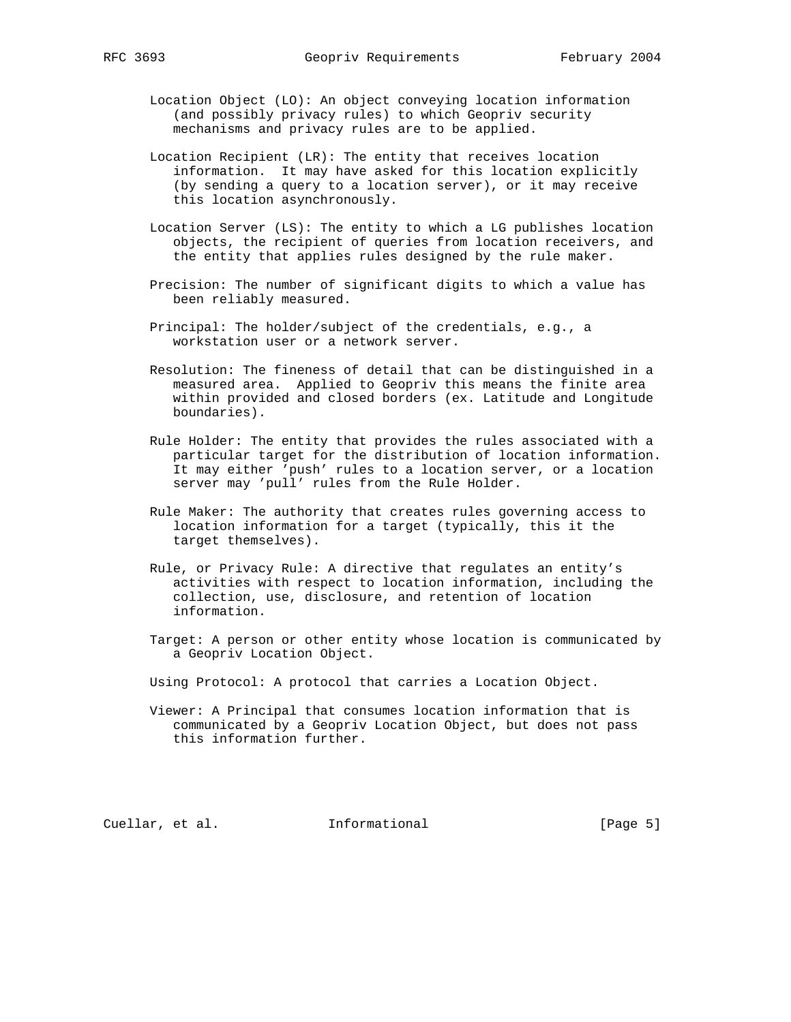- Location Object (LO): An object conveying location information (and possibly privacy rules) to which Geopriv security mechanisms and privacy rules are to be applied.
- Location Recipient (LR): The entity that receives location information. It may have asked for this location explicitly (by sending a query to a location server), or it may receive this location asynchronously.
- Location Server (LS): The entity to which a LG publishes location objects, the recipient of queries from location receivers, and the entity that applies rules designed by the rule maker.
- Precision: The number of significant digits to which a value has been reliably measured.
- Principal: The holder/subject of the credentials, e.g., a workstation user or a network server.
- Resolution: The fineness of detail that can be distinguished in a measured area. Applied to Geopriv this means the finite area within provided and closed borders (ex. Latitude and Longitude boundaries).
- Rule Holder: The entity that provides the rules associated with a particular target for the distribution of location information. It may either 'push' rules to a location server, or a location server may 'pull' rules from the Rule Holder.
- Rule Maker: The authority that creates rules governing access to location information for a target (typically, this it the target themselves).
- Rule, or Privacy Rule: A directive that regulates an entity's activities with respect to location information, including the collection, use, disclosure, and retention of location information.
- Target: A person or other entity whose location is communicated by a Geopriv Location Object.
- Using Protocol: A protocol that carries a Location Object.
- Viewer: A Principal that consumes location information that is communicated by a Geopriv Location Object, but does not pass this information further.

Cuellar, et al. 1nformational [Page 5]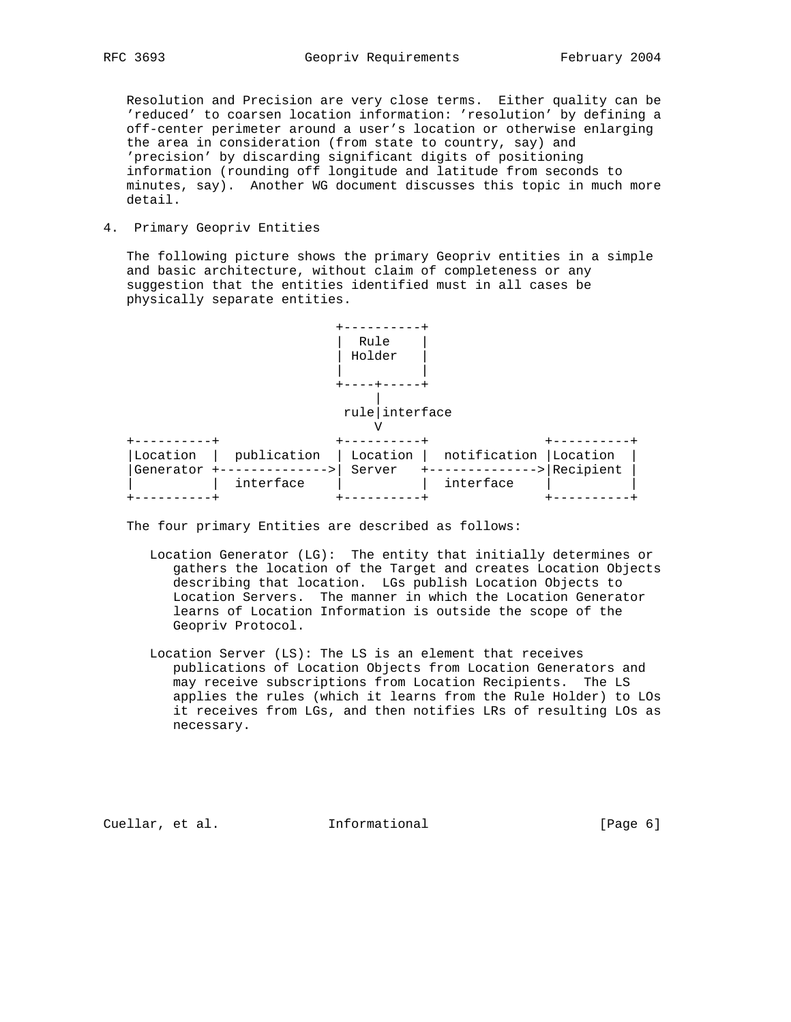Resolution and Precision are very close terms. Either quality can be 'reduced' to coarsen location information: 'resolution' by defining a off-center perimeter around a user's location or otherwise enlarging the area in consideration (from state to country, say) and 'precision' by discarding significant digits of positioning information (rounding off longitude and latitude from seconds to minutes, say). Another WG document discusses this topic in much more detail.

4. Primary Geopriv Entities

|

 The following picture shows the primary Geopriv entities in a simple and basic architecture, without claim of completeness or any suggestion that the entities identified must in all cases be physically separate entities.

 +----------+ | Rule | | Holder | | | +----+-----+

# rule|interface

| Location  | publication | ` Location | notification   Location |                     |  |  |  |
|-----------|-------------|------------|-------------------------|---------------------|--|--|--|
| Generator |             | Server     |                         | $\cdot$ > Recipient |  |  |  |
|           | interface   |            | interface               |                     |  |  |  |
|           |             |            |                         |                     |  |  |  |

The four primary Entities are described as follows:

- Location Generator (LG): The entity that initially determines or gathers the location of the Target and creates Location Objects describing that location. LGs publish Location Objects to Location Servers. The manner in which the Location Generator learns of Location Information is outside the scope of the Geopriv Protocol.
- Location Server (LS): The LS is an element that receives publications of Location Objects from Location Generators and may receive subscriptions from Location Recipients. The LS applies the rules (which it learns from the Rule Holder) to LOs it receives from LGs, and then notifies LRs of resulting LOs as necessary.

Cuellar, et al. **Informational** [Page 6]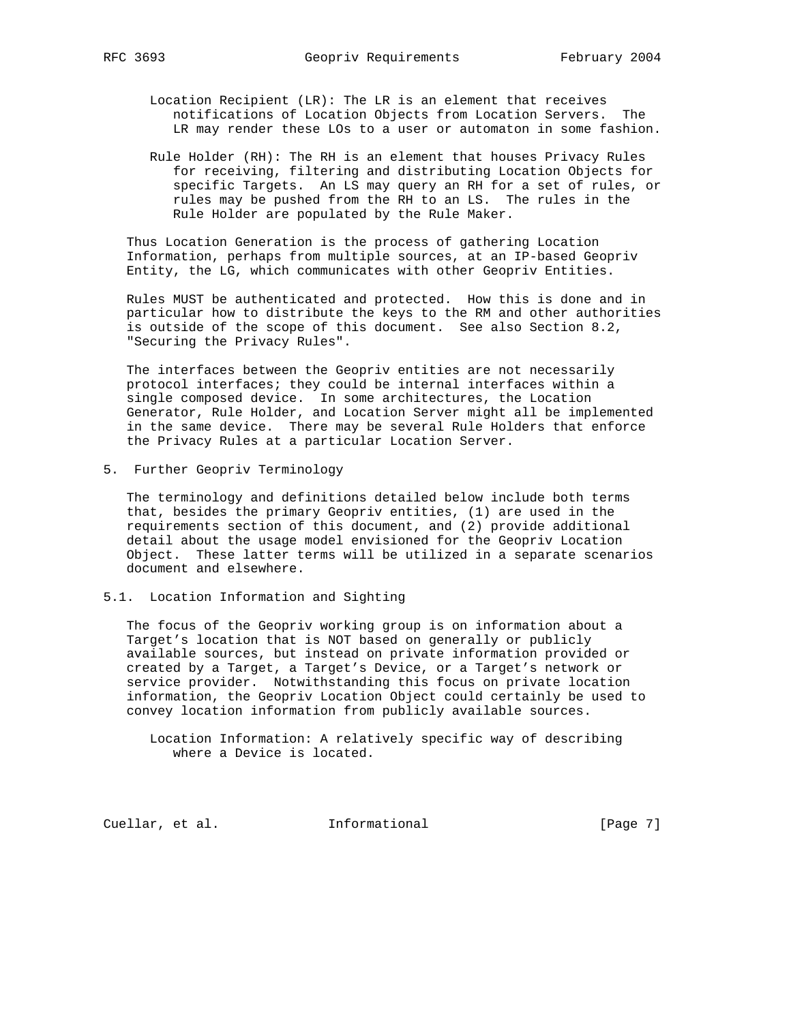Location Recipient (LR): The LR is an element that receives notifications of Location Objects from Location Servers. The LR may render these LOs to a user or automaton in some fashion.

 Rule Holder (RH): The RH is an element that houses Privacy Rules for receiving, filtering and distributing Location Objects for specific Targets. An LS may query an RH for a set of rules, or rules may be pushed from the RH to an LS. The rules in the Rule Holder are populated by the Rule Maker.

 Thus Location Generation is the process of gathering Location Information, perhaps from multiple sources, at an IP-based Geopriv Entity, the LG, which communicates with other Geopriv Entities.

 Rules MUST be authenticated and protected. How this is done and in particular how to distribute the keys to the RM and other authorities is outside of the scope of this document. See also Section 8.2, "Securing the Privacy Rules".

 The interfaces between the Geopriv entities are not necessarily protocol interfaces; they could be internal interfaces within a single composed device. In some architectures, the Location Generator, Rule Holder, and Location Server might all be implemented in the same device. There may be several Rule Holders that enforce the Privacy Rules at a particular Location Server.

5. Further Geopriv Terminology

 The terminology and definitions detailed below include both terms that, besides the primary Geopriv entities, (1) are used in the requirements section of this document, and (2) provide additional detail about the usage model envisioned for the Geopriv Location Object. These latter terms will be utilized in a separate scenarios document and elsewhere.

5.1. Location Information and Sighting

 The focus of the Geopriv working group is on information about a Target's location that is NOT based on generally or publicly available sources, but instead on private information provided or created by a Target, a Target's Device, or a Target's network or service provider. Notwithstanding this focus on private location information, the Geopriv Location Object could certainly be used to convey location information from publicly available sources.

 Location Information: A relatively specific way of describing where a Device is located.

Cuellar, et al. **Informational** [Page 7]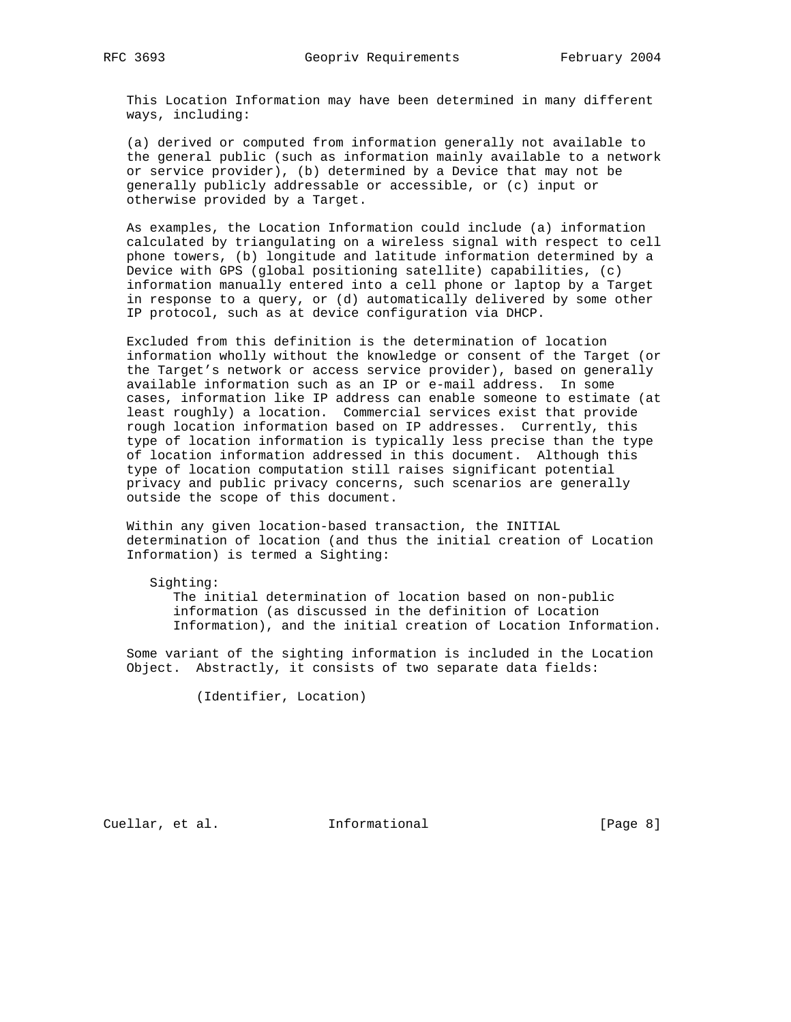This Location Information may have been determined in many different ways, including:

 (a) derived or computed from information generally not available to the general public (such as information mainly available to a network or service provider), (b) determined by a Device that may not be generally publicly addressable or accessible, or (c) input or otherwise provided by a Target.

 As examples, the Location Information could include (a) information calculated by triangulating on a wireless signal with respect to cell phone towers, (b) longitude and latitude information determined by a Device with GPS (global positioning satellite) capabilities, (c) information manually entered into a cell phone or laptop by a Target in response to a query, or (d) automatically delivered by some other IP protocol, such as at device configuration via DHCP.

 Excluded from this definition is the determination of location information wholly without the knowledge or consent of the Target (or the Target's network or access service provider), based on generally available information such as an IP or e-mail address. In some cases, information like IP address can enable someone to estimate (at least roughly) a location. Commercial services exist that provide rough location information based on IP addresses. Currently, this type of location information is typically less precise than the type of location information addressed in this document. Although this type of location computation still raises significant potential privacy and public privacy concerns, such scenarios are generally outside the scope of this document.

 Within any given location-based transaction, the INITIAL determination of location (and thus the initial creation of Location Information) is termed a Sighting:

 Sighting: The initial determination of location based on non-public information (as discussed in the definition of Location Information), and the initial creation of Location Information.

 Some variant of the sighting information is included in the Location Object. Abstractly, it consists of two separate data fields:

(Identifier, Location)

Cuellar, et al. **Informational** [Page 8]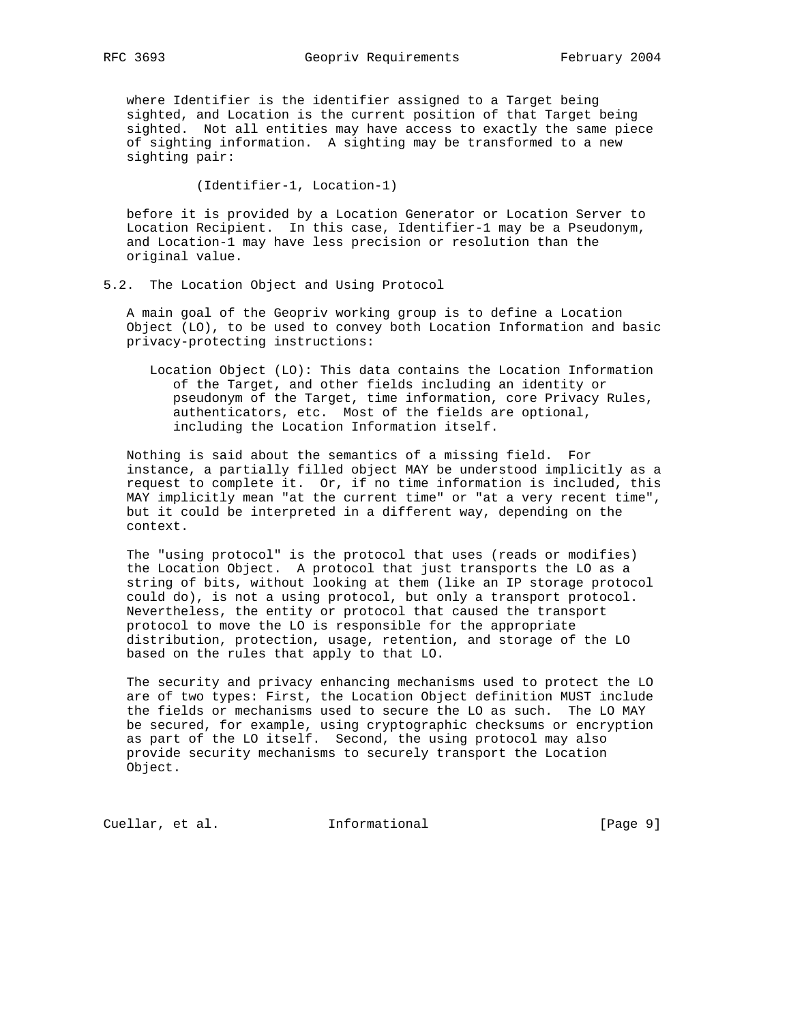where Identifier is the identifier assigned to a Target being sighted, and Location is the current position of that Target being sighted. Not all entities may have access to exactly the same piece of sighting information. A sighting may be transformed to a new sighting pair:

(Identifier-1, Location-1)

 before it is provided by a Location Generator or Location Server to Location Recipient. In this case, Identifier-1 may be a Pseudonym, and Location-1 may have less precision or resolution than the original value.

### 5.2. The Location Object and Using Protocol

 A main goal of the Geopriv working group is to define a Location Object (LO), to be used to convey both Location Information and basic privacy-protecting instructions:

 Location Object (LO): This data contains the Location Information of the Target, and other fields including an identity or pseudonym of the Target, time information, core Privacy Rules, authenticators, etc. Most of the fields are optional, including the Location Information itself.

 Nothing is said about the semantics of a missing field. For instance, a partially filled object MAY be understood implicitly as a request to complete it. Or, if no time information is included, this MAY implicitly mean "at the current time" or "at a very recent time", but it could be interpreted in a different way, depending on the context.

 The "using protocol" is the protocol that uses (reads or modifies) the Location Object. A protocol that just transports the LO as a string of bits, without looking at them (like an IP storage protocol could do), is not a using protocol, but only a transport protocol. Nevertheless, the entity or protocol that caused the transport protocol to move the LO is responsible for the appropriate distribution, protection, usage, retention, and storage of the LO based on the rules that apply to that LO.

 The security and privacy enhancing mechanisms used to protect the LO are of two types: First, the Location Object definition MUST include the fields or mechanisms used to secure the LO as such. The LO MAY be secured, for example, using cryptographic checksums or encryption as part of the LO itself. Second, the using protocol may also provide security mechanisms to securely transport the Location Object.

Cuellar, et al. 1nformational [Page 9]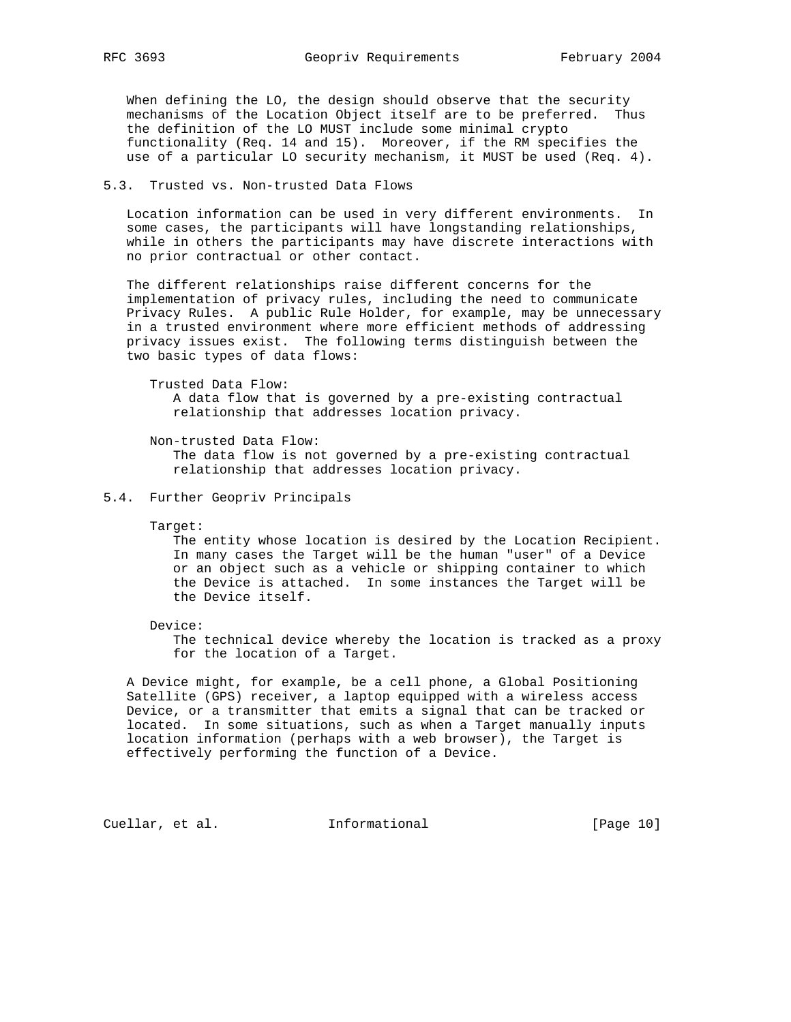When defining the LO, the design should observe that the security mechanisms of the Location Object itself are to be preferred. Thus the definition of the LO MUST include some minimal crypto functionality (Req. 14 and 15). Moreover, if the RM specifies the use of a particular LO security mechanism, it MUST be used (Req. 4).

### 5.3. Trusted vs. Non-trusted Data Flows

 Location information can be used in very different environments. In some cases, the participants will have longstanding relationships, while in others the participants may have discrete interactions with no prior contractual or other contact.

 The different relationships raise different concerns for the implementation of privacy rules, including the need to communicate Privacy Rules. A public Rule Holder, for example, may be unnecessary in a trusted environment where more efficient methods of addressing privacy issues exist. The following terms distinguish between the two basic types of data flows:

 Trusted Data Flow: A data flow that is governed by a pre-existing contractual relationship that addresses location privacy.

 Non-trusted Data Flow: The data flow is not governed by a pre-existing contractual relationship that addresses location privacy.

#### 5.4. Further Geopriv Principals

Target:

 The entity whose location is desired by the Location Recipient. In many cases the Target will be the human "user" of a Device or an object such as a vehicle or shipping container to which the Device is attached. In some instances the Target will be the Device itself.

Device:

 The technical device whereby the location is tracked as a proxy for the location of a Target.

 A Device might, for example, be a cell phone, a Global Positioning Satellite (GPS) receiver, a laptop equipped with a wireless access Device, or a transmitter that emits a signal that can be tracked or located. In some situations, such as when a Target manually inputs location information (perhaps with a web browser), the Target is effectively performing the function of a Device.

Cuellar, et al. 1nformational [Page 10]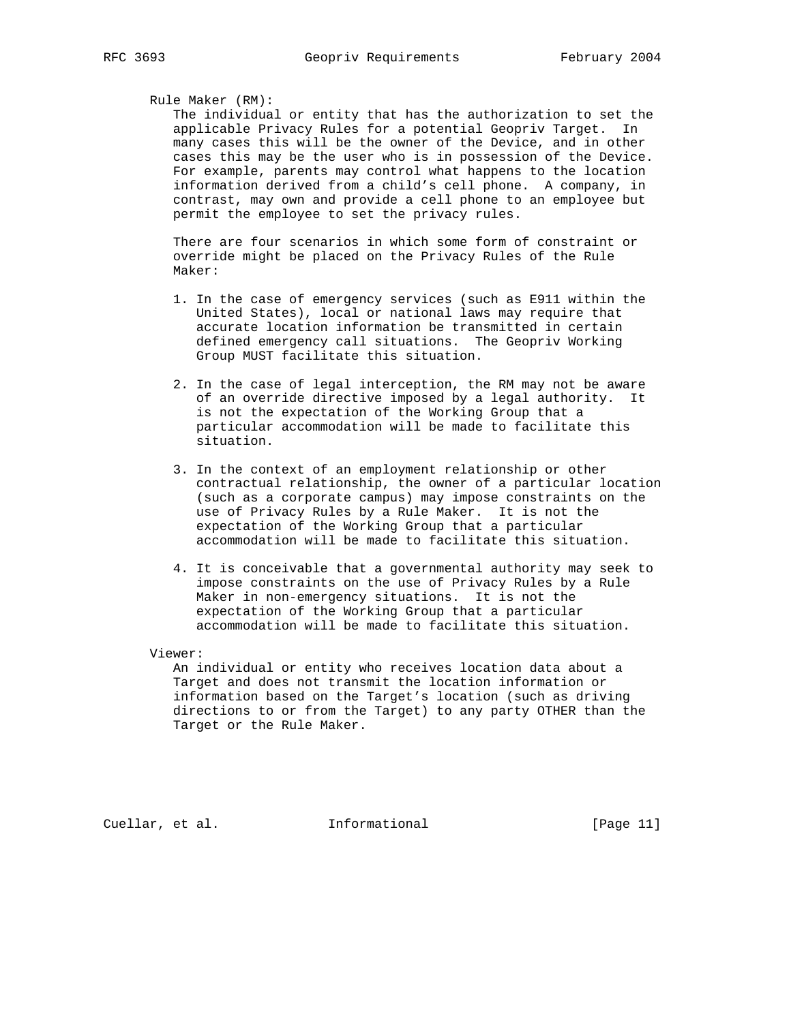## Rule Maker (RM):

 The individual or entity that has the authorization to set the applicable Privacy Rules for a potential Geopriv Target. In many cases this will be the owner of the Device, and in other cases this may be the user who is in possession of the Device. For example, parents may control what happens to the location information derived from a child's cell phone. A company, in contrast, may own and provide a cell phone to an employee but permit the employee to set the privacy rules.

 There are four scenarios in which some form of constraint or override might be placed on the Privacy Rules of the Rule Maker:

- 1. In the case of emergency services (such as E911 within the United States), local or national laws may require that accurate location information be transmitted in certain defined emergency call situations. The Geopriv Working Group MUST facilitate this situation.
- 2. In the case of legal interception, the RM may not be aware of an override directive imposed by a legal authority. It is not the expectation of the Working Group that a particular accommodation will be made to facilitate this situation.
- 3. In the context of an employment relationship or other contractual relationship, the owner of a particular location (such as a corporate campus) may impose constraints on the use of Privacy Rules by a Rule Maker. It is not the expectation of the Working Group that a particular accommodation will be made to facilitate this situation.
- 4. It is conceivable that a governmental authority may seek to impose constraints on the use of Privacy Rules by a Rule Maker in non-emergency situations. It is not the expectation of the Working Group that a particular accommodation will be made to facilitate this situation.

Viewer:

 An individual or entity who receives location data about a Target and does not transmit the location information or information based on the Target's location (such as driving directions to or from the Target) to any party OTHER than the Target or the Rule Maker.

Cuellar, et al. **Informational** [Page 11]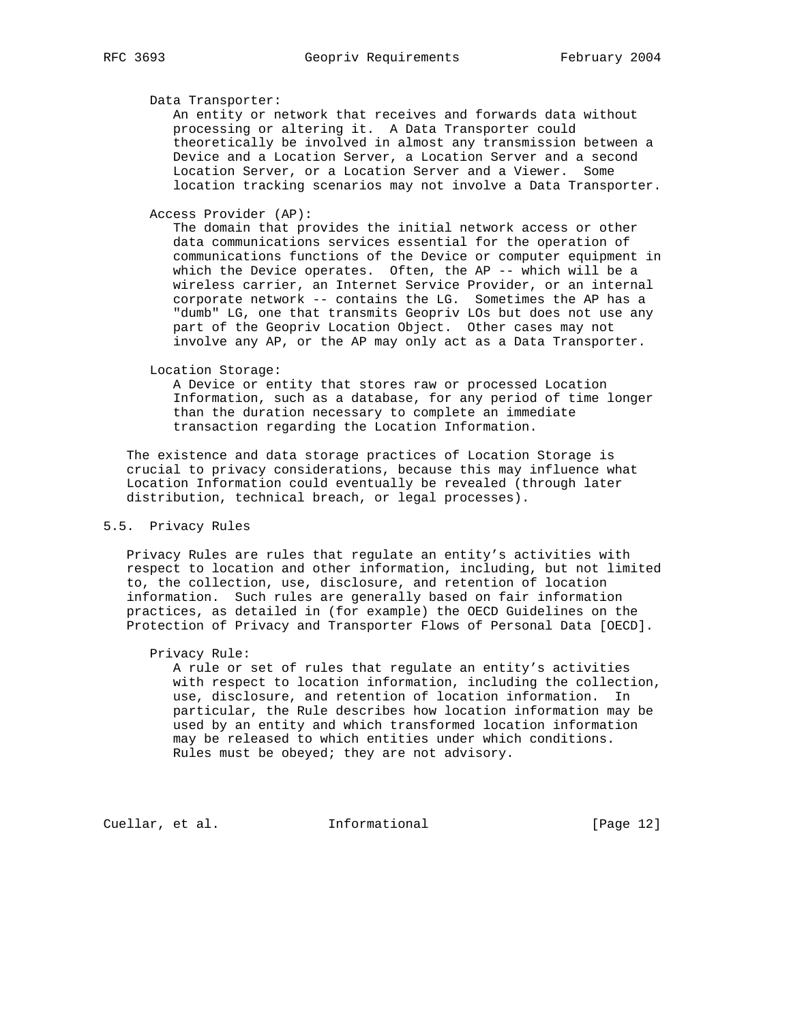#### Data Transporter:

 An entity or network that receives and forwards data without processing or altering it. A Data Transporter could theoretically be involved in almost any transmission between a Device and a Location Server, a Location Server and a second Location Server, or a Location Server and a Viewer. Some location tracking scenarios may not involve a Data Transporter.

Access Provider (AP):

 The domain that provides the initial network access or other data communications services essential for the operation of communications functions of the Device or computer equipment in which the Device operates. Often, the AP -- which will be a wireless carrier, an Internet Service Provider, or an internal corporate network -- contains the LG. Sometimes the AP has a "dumb" LG, one that transmits Geopriv LOs but does not use any part of the Geopriv Location Object. Other cases may not involve any AP, or the AP may only act as a Data Transporter.

Location Storage:

 A Device or entity that stores raw or processed Location Information, such as a database, for any period of time longer than the duration necessary to complete an immediate transaction regarding the Location Information.

 The existence and data storage practices of Location Storage is crucial to privacy considerations, because this may influence what Location Information could eventually be revealed (through later distribution, technical breach, or legal processes).

# 5.5. Privacy Rules

 Privacy Rules are rules that regulate an entity's activities with respect to location and other information, including, but not limited to, the collection, use, disclosure, and retention of location information. Such rules are generally based on fair information practices, as detailed in (for example) the OECD Guidelines on the Protection of Privacy and Transporter Flows of Personal Data [OECD].

#### Privacy Rule:

 A rule or set of rules that regulate an entity's activities with respect to location information, including the collection, use, disclosure, and retention of location information. In particular, the Rule describes how location information may be used by an entity and which transformed location information may be released to which entities under which conditions. Rules must be obeyed; they are not advisory.

Cuellar, et al. 1nformational [Page 12]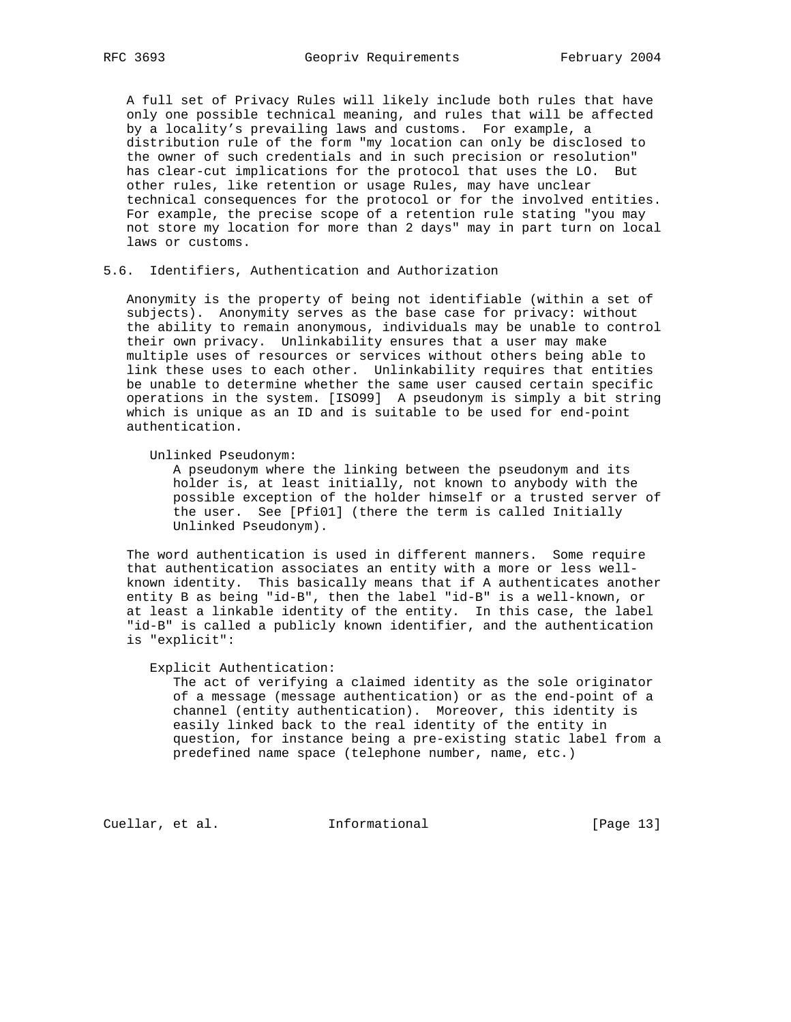A full set of Privacy Rules will likely include both rules that have only one possible technical meaning, and rules that will be affected by a locality's prevailing laws and customs. For example, a distribution rule of the form "my location can only be disclosed to the owner of such credentials and in such precision or resolution" has clear-cut implications for the protocol that uses the LO. But other rules, like retention or usage Rules, may have unclear technical consequences for the protocol or for the involved entities. For example, the precise scope of a retention rule stating "you may not store my location for more than 2 days" may in part turn on local laws or customs.

### 5.6. Identifiers, Authentication and Authorization

 Anonymity is the property of being not identifiable (within a set of subjects). Anonymity serves as the base case for privacy: without the ability to remain anonymous, individuals may be unable to control their own privacy. Unlinkability ensures that a user may make multiple uses of resources or services without others being able to link these uses to each other. Unlinkability requires that entities be unable to determine whether the same user caused certain specific operations in the system. [ISO99] A pseudonym is simply a bit string which is unique as an ID and is suitable to be used for end-point authentication.

Unlinked Pseudonym:

 A pseudonym where the linking between the pseudonym and its holder is, at least initially, not known to anybody with the possible exception of the holder himself or a trusted server of the user. See [Pfi01] (there the term is called Initially Unlinked Pseudonym).

 The word authentication is used in different manners. Some require that authentication associates an entity with a more or less well known identity. This basically means that if A authenticates another entity B as being "id-B", then the label "id-B" is a well-known, or at least a linkable identity of the entity. In this case, the label "id-B" is called a publicly known identifier, and the authentication is "explicit":

#### Explicit Authentication:

 The act of verifying a claimed identity as the sole originator of a message (message authentication) or as the end-point of a channel (entity authentication). Moreover, this identity is easily linked back to the real identity of the entity in question, for instance being a pre-existing static label from a predefined name space (telephone number, name, etc.)

Cuellar, et al. 1nformational [Page 13]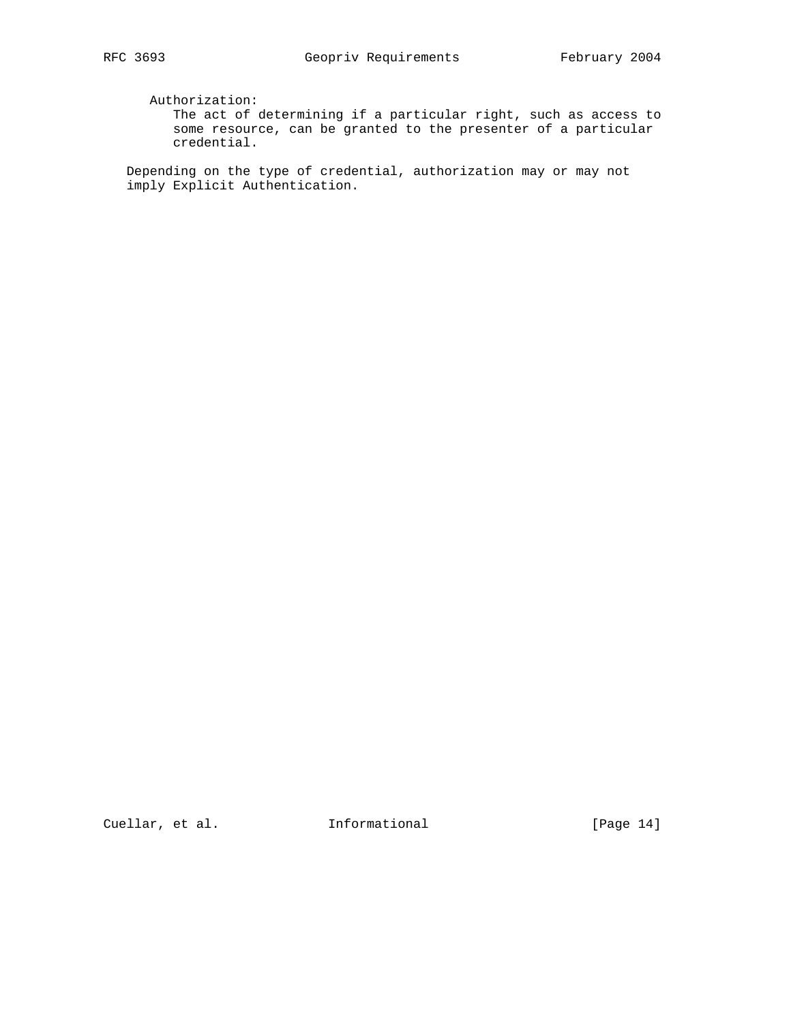Authorization:

 The act of determining if a particular right, such as access to some resource, can be granted to the presenter of a particular credential.

 Depending on the type of credential, authorization may or may not imply Explicit Authentication.

Cuellar, et al. 1nformational [Page 14]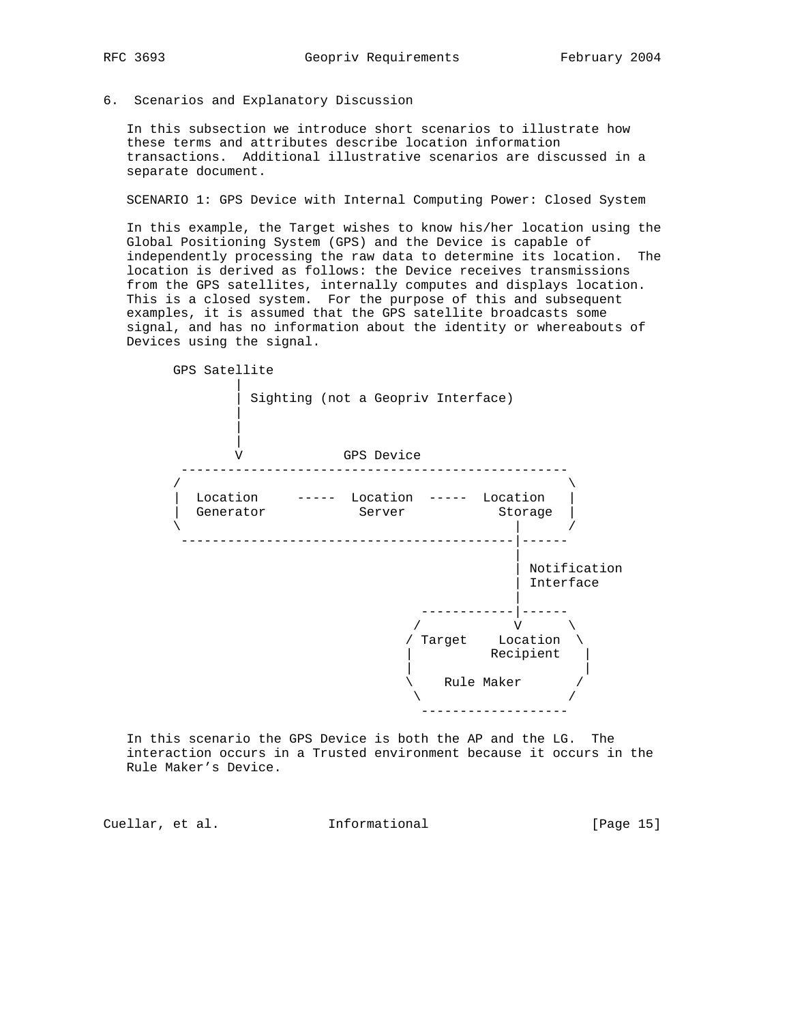6. Scenarios and Explanatory Discussion

 In this subsection we introduce short scenarios to illustrate how these terms and attributes describe location information transactions. Additional illustrative scenarios are discussed in a separate document.

SCENARIO 1: GPS Device with Internal Computing Power: Closed System

 In this example, the Target wishes to know his/her location using the Global Positioning System (GPS) and the Device is capable of independently processing the raw data to determine its location. The location is derived as follows: the Device receives transmissions from the GPS satellites, internally computes and displays location. This is a closed system. For the purpose of this and subsequent examples, it is assumed that the GPS satellite broadcasts some signal, and has no information about the identity or whereabouts of Devices using the signal.



 In this scenario the GPS Device is both the AP and the LG. The interaction occurs in a Trusted environment because it occurs in the Rule Maker's Device.

Cuellar, et al. **Informational** [Page 15]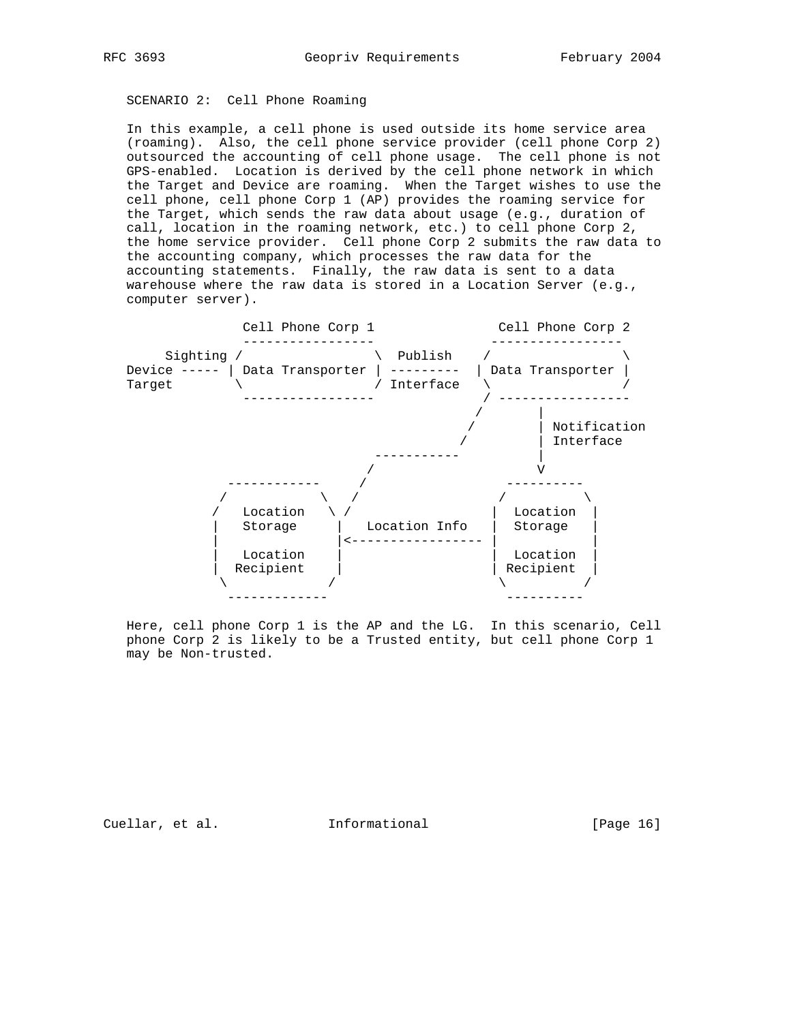# SCENARIO 2: Cell Phone Roaming

 In this example, a cell phone is used outside its home service area (roaming). Also, the cell phone service provider (cell phone Corp 2) outsourced the accounting of cell phone usage. The cell phone is not GPS-enabled. Location is derived by the cell phone network in which the Target and Device are roaming. When the Target wishes to use the cell phone, cell phone Corp 1 (AP) provides the roaming service for the Target, which sends the raw data about usage (e.g., duration of call, location in the roaming network, etc.) to cell phone Corp 2, the home service provider. Cell phone Corp 2 submits the raw data to the accounting company, which processes the raw data for the accounting statements. Finally, the raw data is sent to a data warehouse where the raw data is stored in a Location Server (e.g., computer server).



 Here, cell phone Corp 1 is the AP and the LG. In this scenario, Cell phone Corp 2 is likely to be a Trusted entity, but cell phone Corp 1 may be Non-trusted.

Cuellar, et al. 1nformational [Page 16]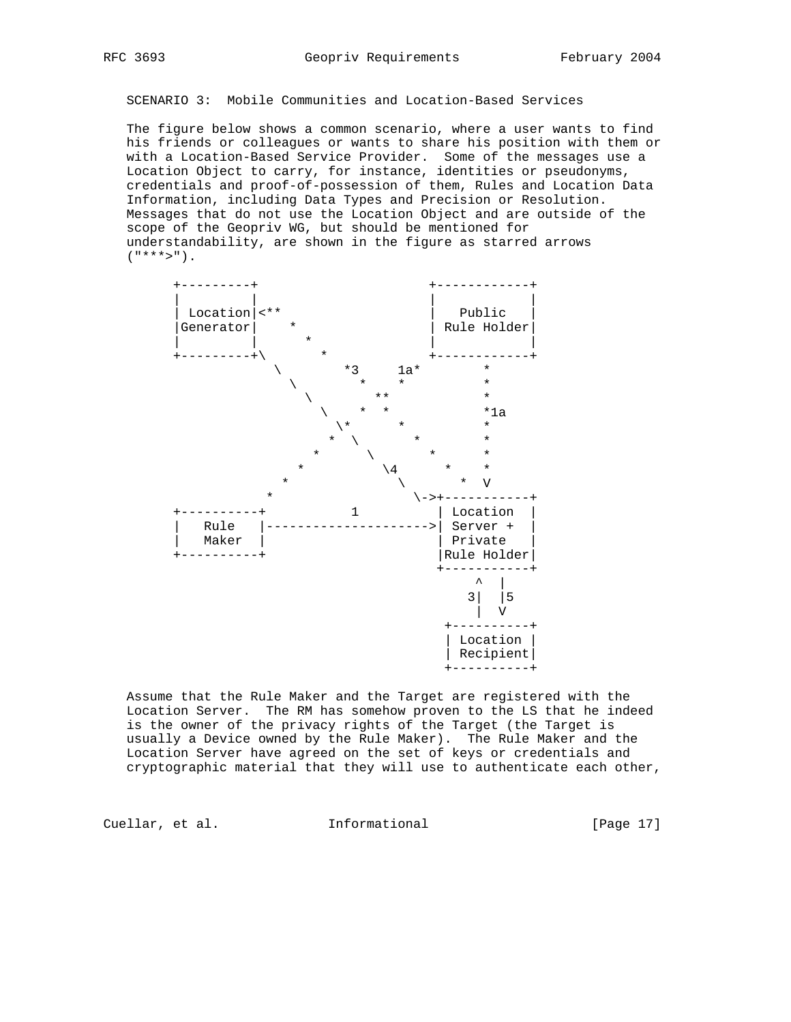SCENARIO 3: Mobile Communities and Location-Based Services

 The figure below shows a common scenario, where a user wants to find his friends or colleagues or wants to share his position with them or with a Location-Based Service Provider. Some of the messages use a Location Object to carry, for instance, identities or pseudonyms, credentials and proof-of-possession of them, Rules and Location Data Information, including Data Types and Precision or Resolution. Messages that do not use the Location Object and are outside of the scope of the Geopriv WG, but should be mentioned for understandability, are shown in the figure as starred arrows  $($ "\*\*\*>").



 Assume that the Rule Maker and the Target are registered with the Location Server. The RM has somehow proven to the LS that he indeed is the owner of the privacy rights of the Target (the Target is usually a Device owned by the Rule Maker). The Rule Maker and the Location Server have agreed on the set of keys or credentials and cryptographic material that they will use to authenticate each other,

Cuellar, et al. **Informational** [Page 17]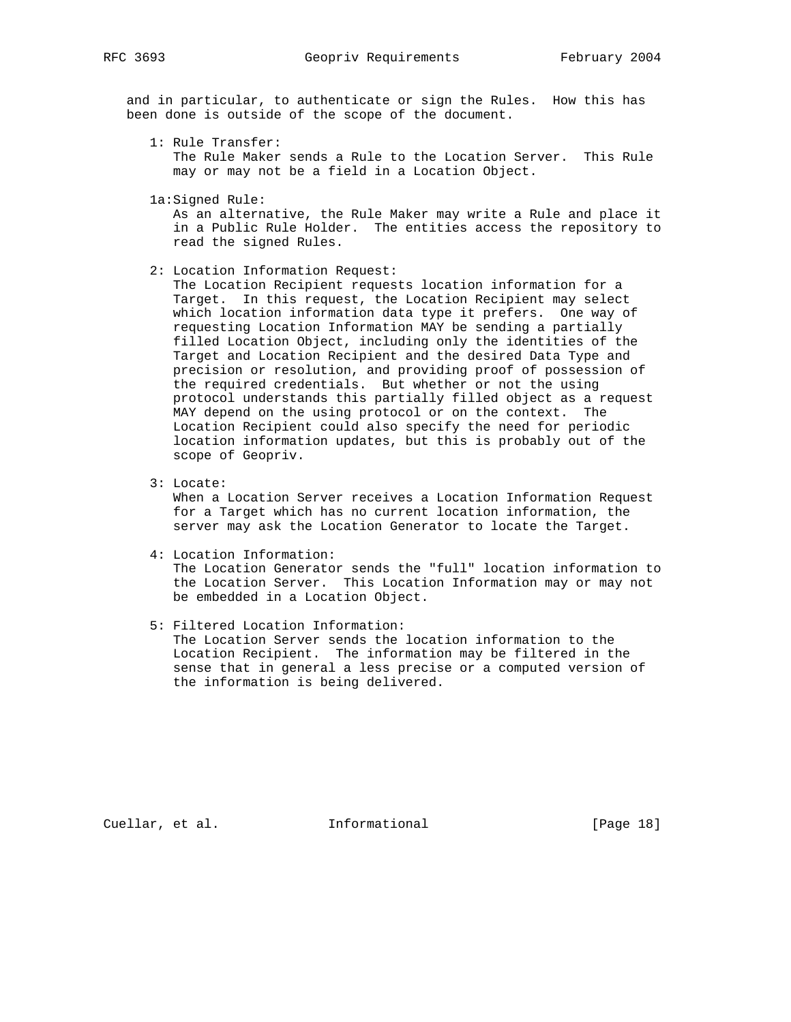and in particular, to authenticate or sign the Rules. How this has been done is outside of the scope of the document.

1: Rule Transfer:

 The Rule Maker sends a Rule to the Location Server. This Rule may or may not be a field in a Location Object.

1a:Signed Rule:

 As an alternative, the Rule Maker may write a Rule and place it in a Public Rule Holder. The entities access the repository to read the signed Rules.

2: Location Information Request:

 The Location Recipient requests location information for a Target. In this request, the Location Recipient may select which location information data type it prefers. One way of requesting Location Information MAY be sending a partially filled Location Object, including only the identities of the Target and Location Recipient and the desired Data Type and precision or resolution, and providing proof of possession of the required credentials. But whether or not the using protocol understands this partially filled object as a request MAY depend on the using protocol or on the context. The Location Recipient could also specify the need for periodic location information updates, but this is probably out of the scope of Geopriv.

3: Locate:

 When a Location Server receives a Location Information Request for a Target which has no current location information, the server may ask the Location Generator to locate the Target.

4: Location Information:

 The Location Generator sends the "full" location information to the Location Server. This Location Information may or may not be embedded in a Location Object.

5: Filtered Location Information:

 The Location Server sends the location information to the Location Recipient. The information may be filtered in the sense that in general a less precise or a computed version of the information is being delivered.

Cuellar, et al. **Informational** [Page 18]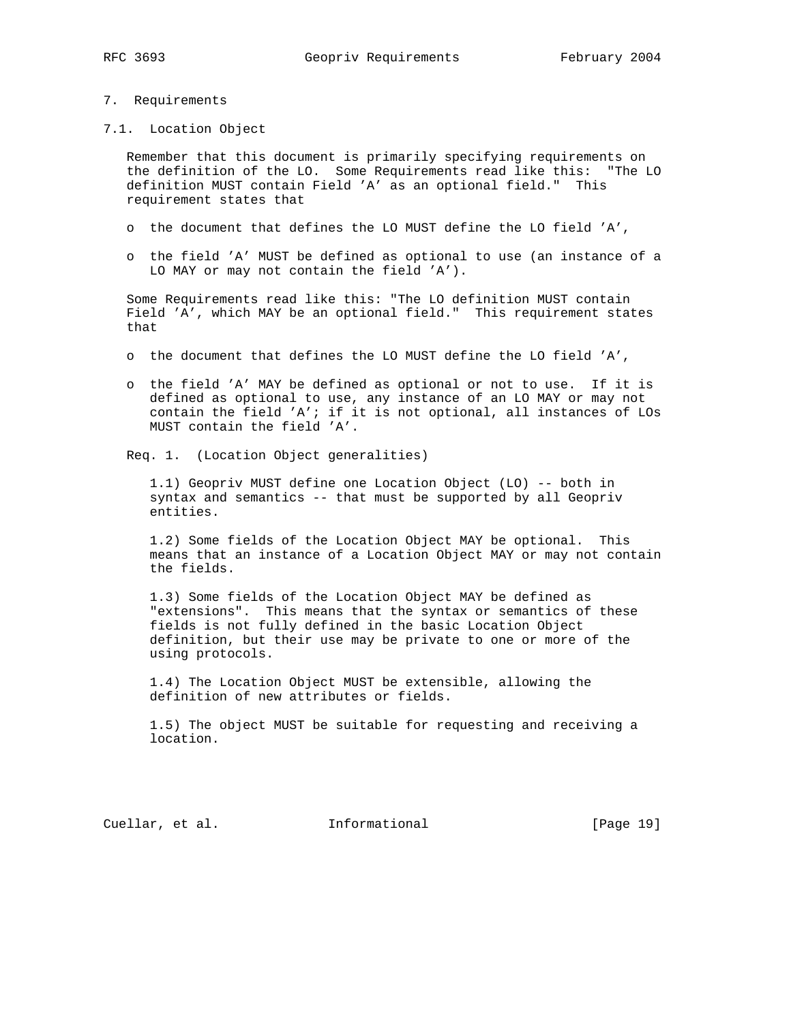#### 7. Requirements

7.1. Location Object

 Remember that this document is primarily specifying requirements on the definition of the LO. Some Requirements read like this: "The LO definition MUST contain Field 'A' as an optional field." This requirement states that

- o the document that defines the LO MUST define the LO field 'A',
- o the field 'A' MUST be defined as optional to use (an instance of a LO MAY or may not contain the field 'A').

 Some Requirements read like this: "The LO definition MUST contain Field 'A', which MAY be an optional field." This requirement states that

- o the document that defines the LO MUST define the LO field 'A',
- o the field 'A' MAY be defined as optional or not to use. If it is defined as optional to use, any instance of an LO MAY or may not contain the field 'A'; if it is not optional, all instances of LOs MUST contain the field 'A'.
- Req. 1. (Location Object generalities)

 1.1) Geopriv MUST define one Location Object (LO) -- both in syntax and semantics -- that must be supported by all Geopriv entities.

 1.2) Some fields of the Location Object MAY be optional. This means that an instance of a Location Object MAY or may not contain the fields.

 1.3) Some fields of the Location Object MAY be defined as "extensions". This means that the syntax or semantics of these fields is not fully defined in the basic Location Object definition, but their use may be private to one or more of the using protocols.

 1.4) The Location Object MUST be extensible, allowing the definition of new attributes or fields.

 1.5) The object MUST be suitable for requesting and receiving a location.

Cuellar, et al. Informational [Page 19]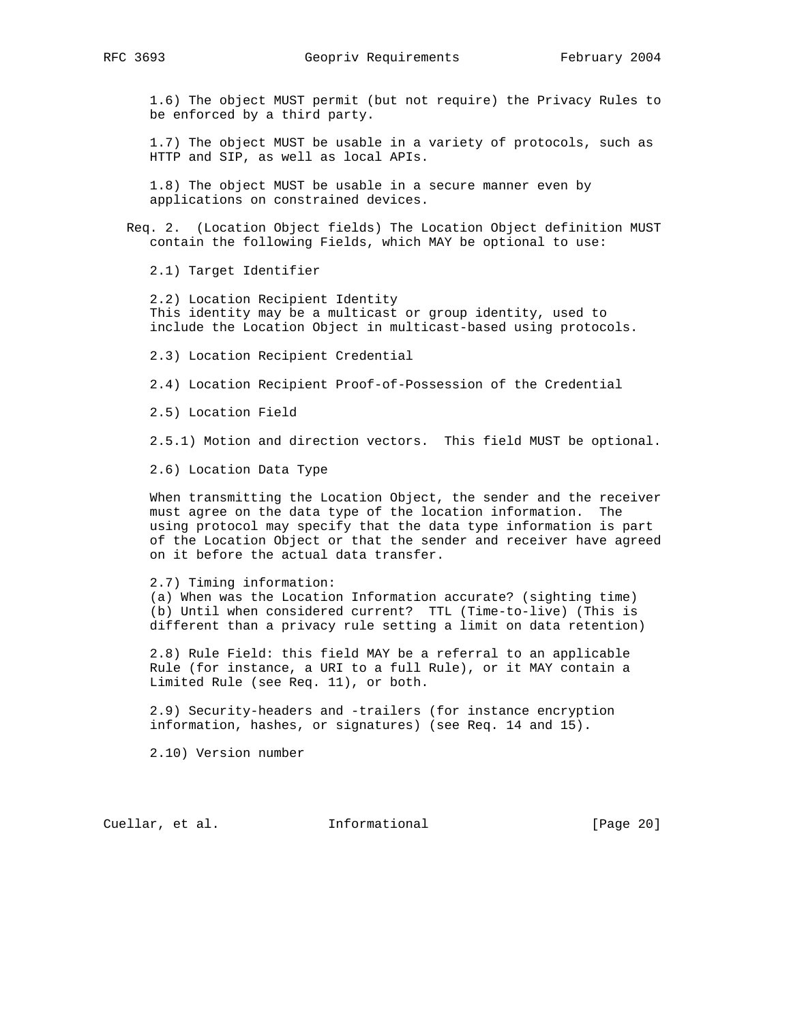1.6) The object MUST permit (but not require) the Privacy Rules to be enforced by a third party.

 1.7) The object MUST be usable in a variety of protocols, such as HTTP and SIP, as well as local APIs.

 1.8) The object MUST be usable in a secure manner even by applications on constrained devices.

 Req. 2. (Location Object fields) The Location Object definition MUST contain the following Fields, which MAY be optional to use:

2.1) Target Identifier

 2.2) Location Recipient Identity This identity may be a multicast or group identity, used to include the Location Object in multicast-based using protocols.

2.3) Location Recipient Credential

2.4) Location Recipient Proof-of-Possession of the Credential

2.5) Location Field

2.5.1) Motion and direction vectors. This field MUST be optional.

2.6) Location Data Type

 When transmitting the Location Object, the sender and the receiver must agree on the data type of the location information. The using protocol may specify that the data type information is part of the Location Object or that the sender and receiver have agreed on it before the actual data transfer.

 2.7) Timing information: (a) When was the Location Information accurate? (sighting time) (b) Until when considered current? TTL (Time-to-live) (This is different than a privacy rule setting a limit on data retention)

 2.8) Rule Field: this field MAY be a referral to an applicable Rule (for instance, a URI to a full Rule), or it MAY contain a Limited Rule (see Req. 11), or both.

 2.9) Security-headers and -trailers (for instance encryption information, hashes, or signatures) (see Req. 14 and 15).

2.10) Version number

Cuellar, et al. **Informational** [Page 20]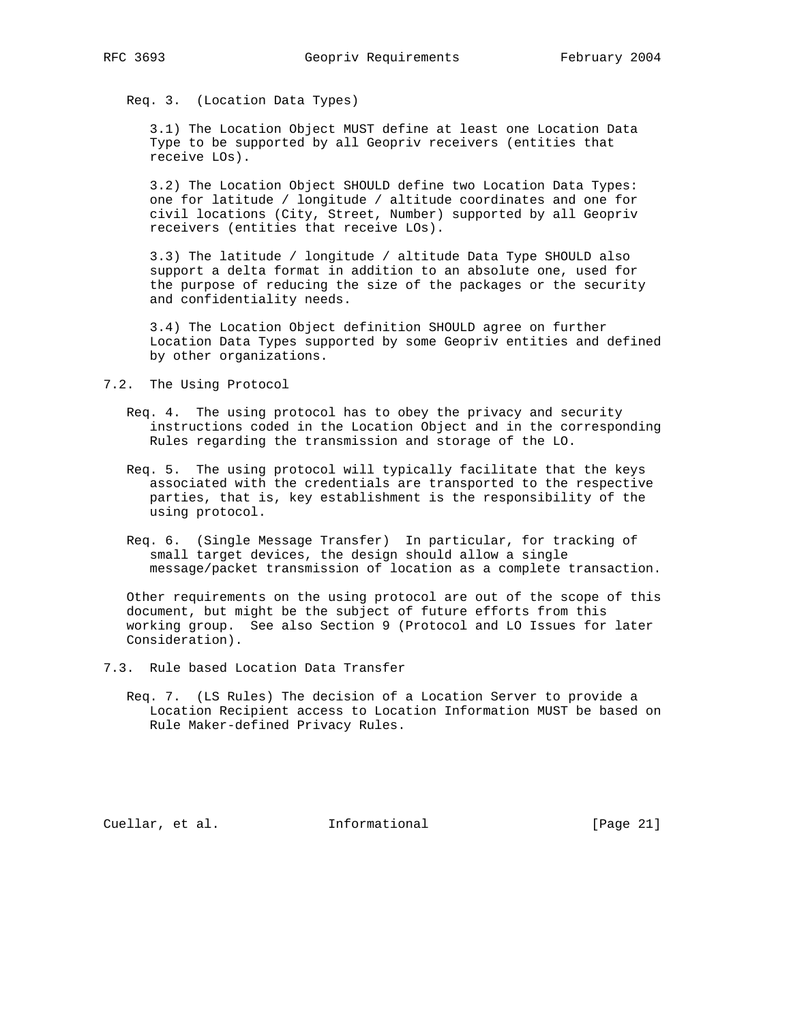Req. 3. (Location Data Types)

 3.1) The Location Object MUST define at least one Location Data Type to be supported by all Geopriv receivers (entities that receive LOs).

 3.2) The Location Object SHOULD define two Location Data Types: one for latitude / longitude / altitude coordinates and one for civil locations (City, Street, Number) supported by all Geopriv receivers (entities that receive LOs).

 3.3) The latitude / longitude / altitude Data Type SHOULD also support a delta format in addition to an absolute one, used for the purpose of reducing the size of the packages or the security and confidentiality needs.

 3.4) The Location Object definition SHOULD agree on further Location Data Types supported by some Geopriv entities and defined by other organizations.

- 7.2. The Using Protocol
	- Req. 4. The using protocol has to obey the privacy and security instructions coded in the Location Object and in the corresponding Rules regarding the transmission and storage of the LO.
	- Req. 5. The using protocol will typically facilitate that the keys associated with the credentials are transported to the respective parties, that is, key establishment is the responsibility of the using protocol.
	- Req. 6. (Single Message Transfer) In particular, for tracking of small target devices, the design should allow a single message/packet transmission of location as a complete transaction.

 Other requirements on the using protocol are out of the scope of this document, but might be the subject of future efforts from this working group. See also Section 9 (Protocol and LO Issues for later Consideration).

- 7.3. Rule based Location Data Transfer
	- Req. 7. (LS Rules) The decision of a Location Server to provide a Location Recipient access to Location Information MUST be based on Rule Maker-defined Privacy Rules.

Cuellar, et al. **Informational** [Page 21]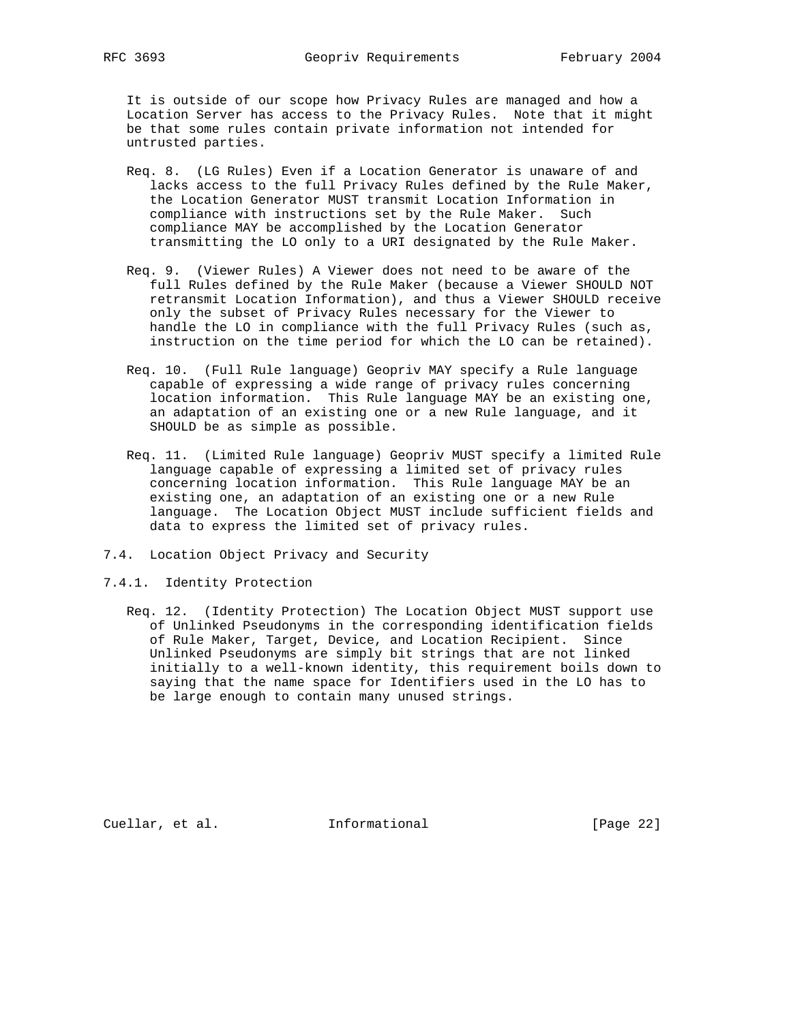It is outside of our scope how Privacy Rules are managed and how a Location Server has access to the Privacy Rules. Note that it might be that some rules contain private information not intended for untrusted parties.

- Req. 8. (LG Rules) Even if a Location Generator is unaware of and lacks access to the full Privacy Rules defined by the Rule Maker, the Location Generator MUST transmit Location Information in compliance with instructions set by the Rule Maker. Such compliance MAY be accomplished by the Location Generator transmitting the LO only to a URI designated by the Rule Maker.
- Req. 9. (Viewer Rules) A Viewer does not need to be aware of the full Rules defined by the Rule Maker (because a Viewer SHOULD NOT retransmit Location Information), and thus a Viewer SHOULD receive only the subset of Privacy Rules necessary for the Viewer to handle the LO in compliance with the full Privacy Rules (such as, instruction on the time period for which the LO can be retained).
- Req. 10. (Full Rule language) Geopriv MAY specify a Rule language capable of expressing a wide range of privacy rules concerning location information. This Rule language MAY be an existing one, an adaptation of an existing one or a new Rule language, and it SHOULD be as simple as possible.
- Req. 11. (Limited Rule language) Geopriv MUST specify a limited Rule language capable of expressing a limited set of privacy rules concerning location information. This Rule language MAY be an existing one, an adaptation of an existing one or a new Rule language. The Location Object MUST include sufficient fields and data to express the limited set of privacy rules.
- 7.4. Location Object Privacy and Security
- 7.4.1. Identity Protection
	- Req. 12. (Identity Protection) The Location Object MUST support use of Unlinked Pseudonyms in the corresponding identification fields of Rule Maker, Target, Device, and Location Recipient. Since Unlinked Pseudonyms are simply bit strings that are not linked initially to a well-known identity, this requirement boils down to saying that the name space for Identifiers used in the LO has to be large enough to contain many unused strings.

Cuellar, et al. Informational [Page 22]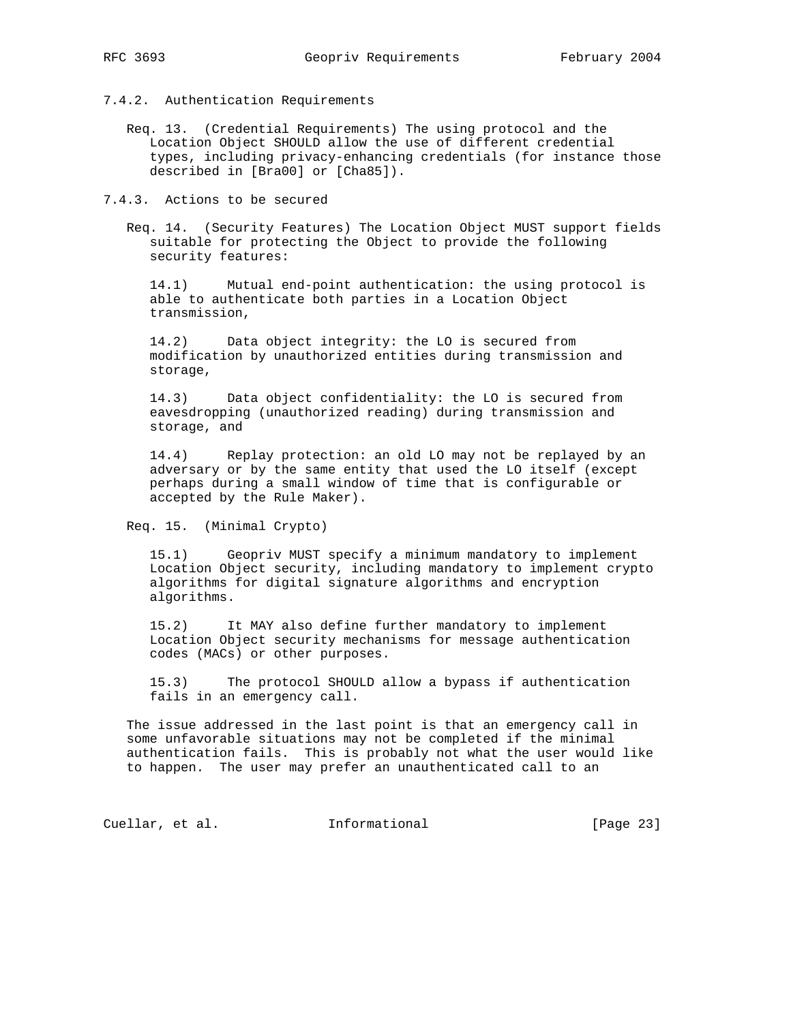- 7.4.2. Authentication Requirements
	- Req. 13. (Credential Requirements) The using protocol and the Location Object SHOULD allow the use of different credential types, including privacy-enhancing credentials (for instance those described in [Bra00] or [Cha85]).

7.4.3. Actions to be secured

 Req. 14. (Security Features) The Location Object MUST support fields suitable for protecting the Object to provide the following security features:

 14.1) Mutual end-point authentication: the using protocol is able to authenticate both parties in a Location Object transmission,

 14.2) Data object integrity: the LO is secured from modification by unauthorized entities during transmission and storage,

 14.3) Data object confidentiality: the LO is secured from eavesdropping (unauthorized reading) during transmission and storage, and

 14.4) Replay protection: an old LO may not be replayed by an adversary or by the same entity that used the LO itself (except perhaps during a small window of time that is configurable or accepted by the Rule Maker).

Req. 15. (Minimal Crypto)

 15.1) Geopriv MUST specify a minimum mandatory to implement Location Object security, including mandatory to implement crypto algorithms for digital signature algorithms and encryption algorithms.

 15.2) It MAY also define further mandatory to implement Location Object security mechanisms for message authentication codes (MACs) or other purposes.

 15.3) The protocol SHOULD allow a bypass if authentication fails in an emergency call.

 The issue addressed in the last point is that an emergency call in some unfavorable situations may not be completed if the minimal authentication fails. This is probably not what the user would like to happen. The user may prefer an unauthenticated call to an

Cuellar, et al. 1nformational [Page 23]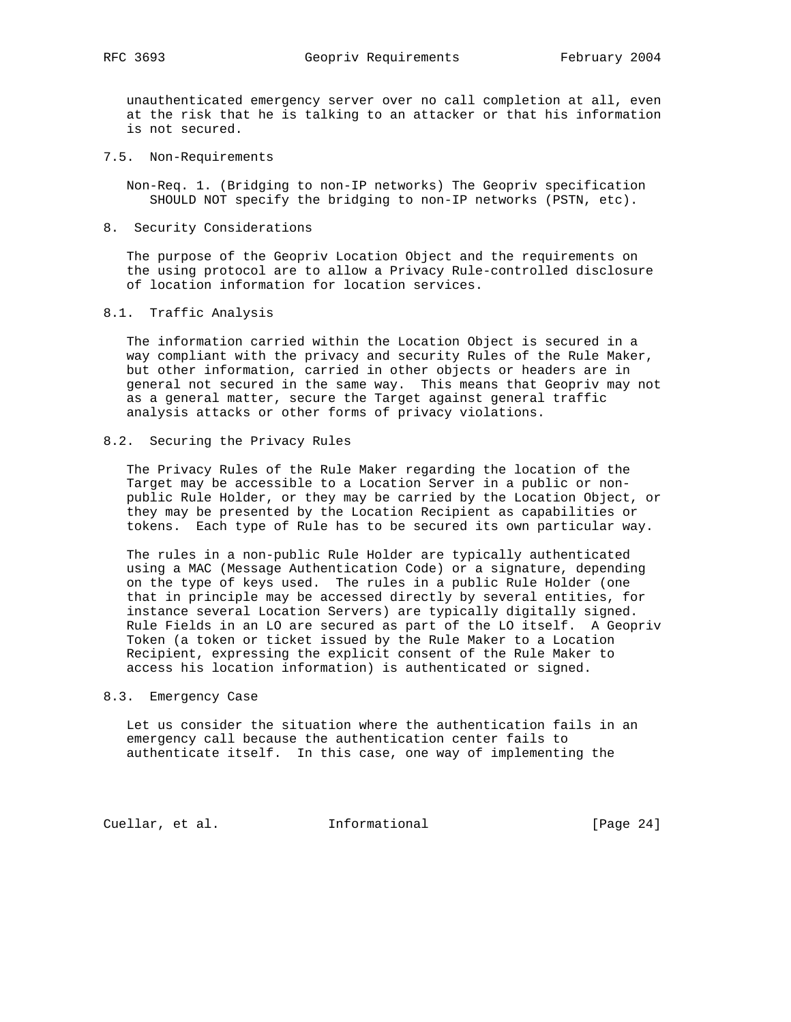unauthenticated emergency server over no call completion at all, even at the risk that he is talking to an attacker or that his information is not secured.

7.5. Non-Requirements

 Non-Req. 1. (Bridging to non-IP networks) The Geopriv specification SHOULD NOT specify the bridging to non-IP networks (PSTN, etc).

8. Security Considerations

 The purpose of the Geopriv Location Object and the requirements on the using protocol are to allow a Privacy Rule-controlled disclosure of location information for location services.

8.1. Traffic Analysis

 The information carried within the Location Object is secured in a way compliant with the privacy and security Rules of the Rule Maker, but other information, carried in other objects or headers are in general not secured in the same way. This means that Geopriv may not as a general matter, secure the Target against general traffic analysis attacks or other forms of privacy violations.

### 8.2. Securing the Privacy Rules

 The Privacy Rules of the Rule Maker regarding the location of the Target may be accessible to a Location Server in a public or non public Rule Holder, or they may be carried by the Location Object, or they may be presented by the Location Recipient as capabilities or tokens. Each type of Rule has to be secured its own particular way.

 The rules in a non-public Rule Holder are typically authenticated using a MAC (Message Authentication Code) or a signature, depending on the type of keys used. The rules in a public Rule Holder (one that in principle may be accessed directly by several entities, for instance several Location Servers) are typically digitally signed. Rule Fields in an LO are secured as part of the LO itself. A Geopriv Token (a token or ticket issued by the Rule Maker to a Location Recipient, expressing the explicit consent of the Rule Maker to access his location information) is authenticated or signed.

#### 8.3. Emergency Case

 Let us consider the situation where the authentication fails in an emergency call because the authentication center fails to authenticate itself. In this case, one way of implementing the

Cuellar, et al. 1nformational [Page 24]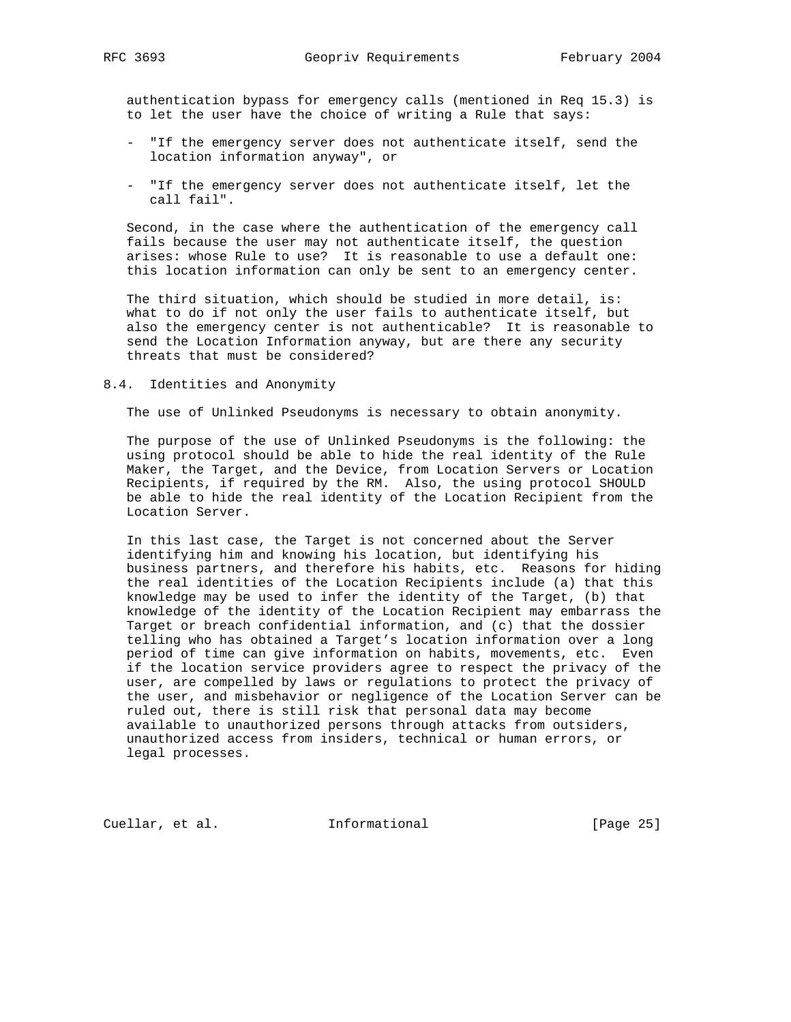authentication bypass for emergency calls (mentioned in Req 15.3) is to let the user have the choice of writing a Rule that says:

- "If the emergency server does not authenticate itself, send the location information anyway", or
- "If the emergency server does not authenticate itself, let the call fail".

 Second, in the case where the authentication of the emergency call fails because the user may not authenticate itself, the question arises: whose Rule to use? It is reasonable to use a default one: this location information can only be sent to an emergency center.

 The third situation, which should be studied in more detail, is: what to do if not only the user fails to authenticate itself, but also the emergency center is not authenticable? It is reasonable to send the Location Information anyway, but are there any security threats that must be considered?

8.4. Identities and Anonymity

The use of Unlinked Pseudonyms is necessary to obtain anonymity.

 The purpose of the use of Unlinked Pseudonyms is the following: the using protocol should be able to hide the real identity of the Rule Maker, the Target, and the Device, from Location Servers or Location Recipients, if required by the RM. Also, the using protocol SHOULD be able to hide the real identity of the Location Recipient from the Location Server.

 In this last case, the Target is not concerned about the Server identifying him and knowing his location, but identifying his business partners, and therefore his habits, etc. Reasons for hiding the real identities of the Location Recipients include (a) that this knowledge may be used to infer the identity of the Target, (b) that knowledge of the identity of the Location Recipient may embarrass the Target or breach confidential information, and (c) that the dossier telling who has obtained a Target's location information over a long period of time can give information on habits, movements, etc. Even if the location service providers agree to respect the privacy of the user, are compelled by laws or regulations to protect the privacy of the user, and misbehavior or negligence of the Location Server can be ruled out, there is still risk that personal data may become available to unauthorized persons through attacks from outsiders, unauthorized access from insiders, technical or human errors, or legal processes.

Cuellar, et al. **Informational** [Page 25]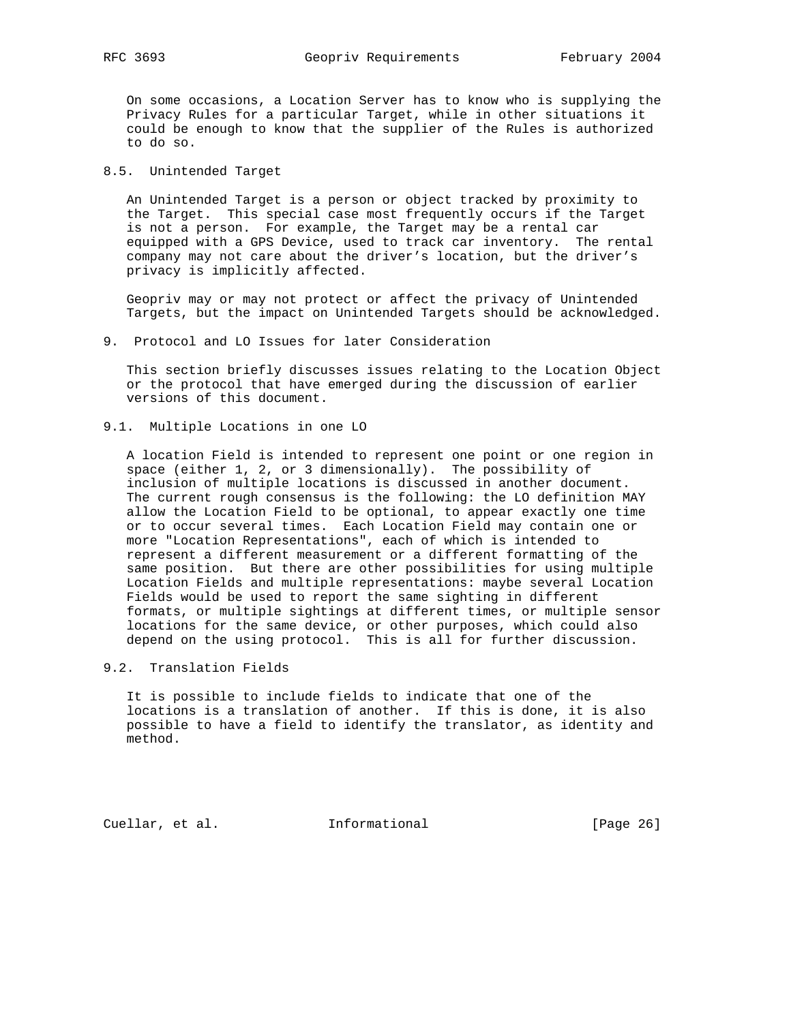On some occasions, a Location Server has to know who is supplying the Privacy Rules for a particular Target, while in other situations it could be enough to know that the supplier of the Rules is authorized to do so.

# 8.5. Unintended Target

 An Unintended Target is a person or object tracked by proximity to the Target. This special case most frequently occurs if the Target is not a person. For example, the Target may be a rental car equipped with a GPS Device, used to track car inventory. The rental company may not care about the driver's location, but the driver's privacy is implicitly affected.

 Geopriv may or may not protect or affect the privacy of Unintended Targets, but the impact on Unintended Targets should be acknowledged.

9. Protocol and LO Issues for later Consideration

 This section briefly discusses issues relating to the Location Object or the protocol that have emerged during the discussion of earlier versions of this document.

9.1. Multiple Locations in one LO

 A location Field is intended to represent one point or one region in space (either 1, 2, or 3 dimensionally). The possibility of inclusion of multiple locations is discussed in another document. The current rough consensus is the following: the LO definition MAY allow the Location Field to be optional, to appear exactly one time or to occur several times. Each Location Field may contain one or more "Location Representations", each of which is intended to represent a different measurement or a different formatting of the same position. But there are other possibilities for using multiple Location Fields and multiple representations: maybe several Location Fields would be used to report the same sighting in different formats, or multiple sightings at different times, or multiple sensor locations for the same device, or other purposes, which could also depend on the using protocol. This is all for further discussion.

9.2. Translation Fields

 It is possible to include fields to indicate that one of the locations is a translation of another. If this is done, it is also possible to have a field to identify the translator, as identity and method.

Cuellar, et al. **Informational** [Page 26]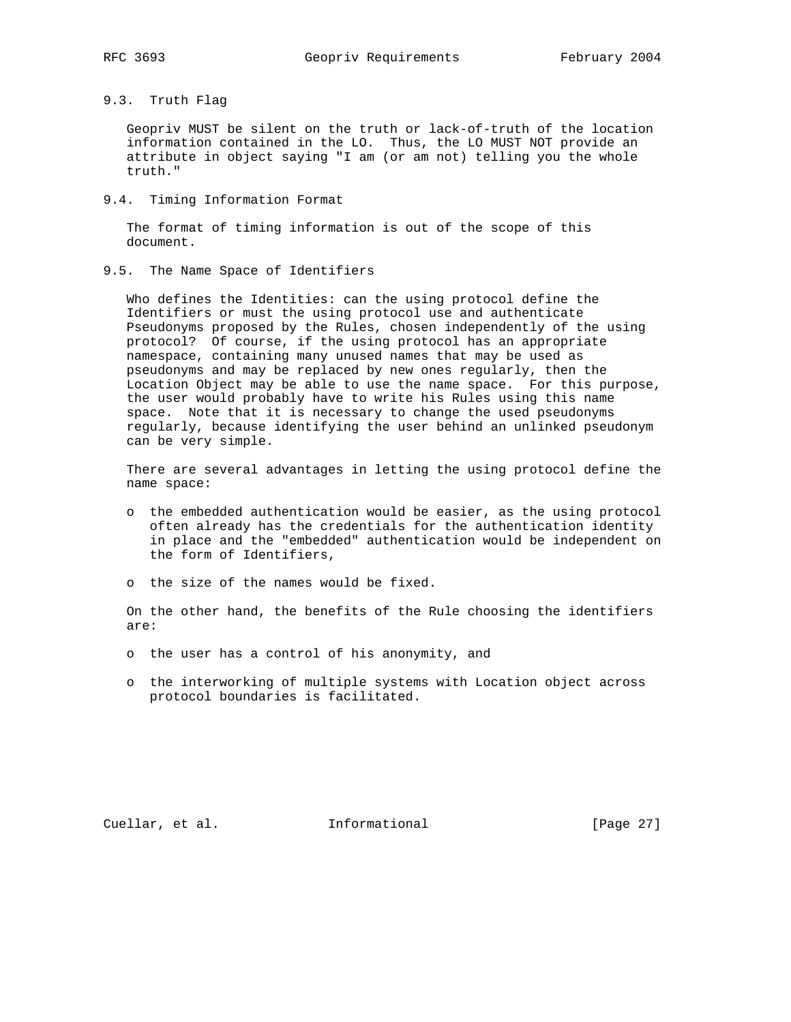# 9.3. Truth Flag

 Geopriv MUST be silent on the truth or lack-of-truth of the location information contained in the LO. Thus, the LO MUST NOT provide an attribute in object saying "I am (or am not) telling you the whole truth."

9.4. Timing Information Format

 The format of timing information is out of the scope of this document.

9.5. The Name Space of Identifiers

 Who defines the Identities: can the using protocol define the Identifiers or must the using protocol use and authenticate Pseudonyms proposed by the Rules, chosen independently of the using protocol? Of course, if the using protocol has an appropriate namespace, containing many unused names that may be used as pseudonyms and may be replaced by new ones regularly, then the Location Object may be able to use the name space. For this purpose, the user would probably have to write his Rules using this name space. Note that it is necessary to change the used pseudonyms regularly, because identifying the user behind an unlinked pseudonym can be very simple.

 There are several advantages in letting the using protocol define the name space:

- o the embedded authentication would be easier, as the using protocol often already has the credentials for the authentication identity in place and the "embedded" authentication would be independent on the form of Identifiers,
- o the size of the names would be fixed.

 On the other hand, the benefits of the Rule choosing the identifiers are:

- o the user has a control of his anonymity, and
- o the interworking of multiple systems with Location object across protocol boundaries is facilitated.

Cuellar, et al. **Informational** [Page 27]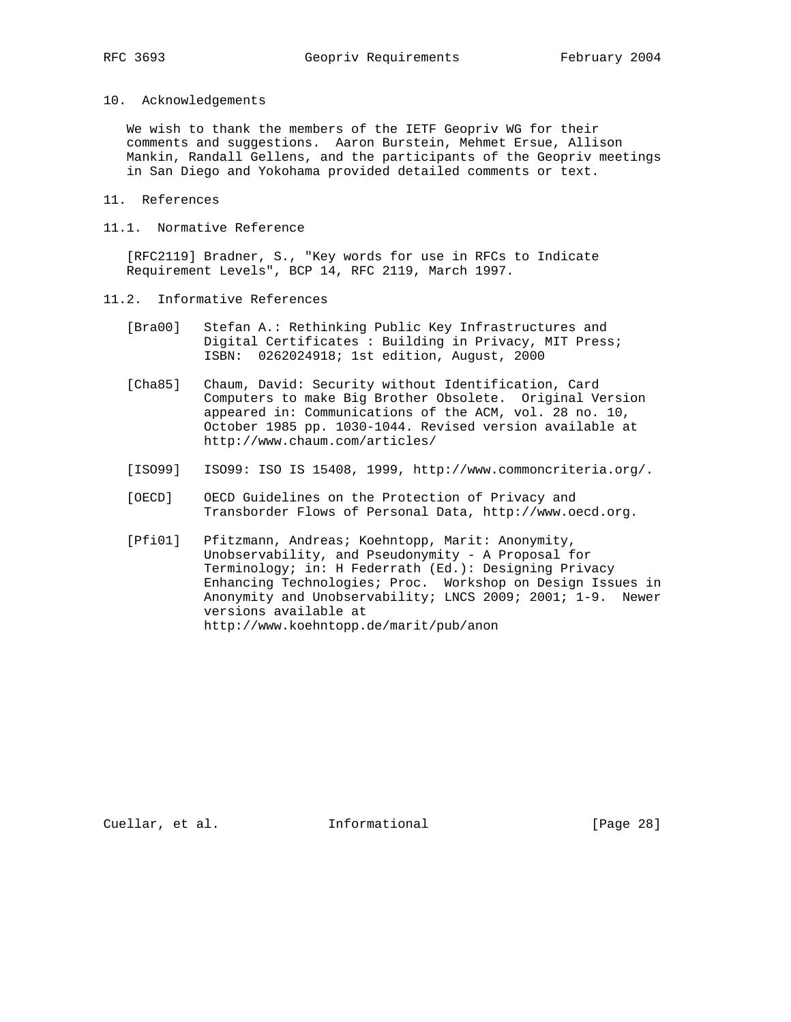10. Acknowledgements

 We wish to thank the members of the IETF Geopriv WG for their comments and suggestions. Aaron Burstein, Mehmet Ersue, Allison Mankin, Randall Gellens, and the participants of the Geopriv meetings in San Diego and Yokohama provided detailed comments or text.

- 11. References
- 11.1. Normative Reference

 [RFC2119] Bradner, S., "Key words for use in RFCs to Indicate Requirement Levels", BCP 14, RFC 2119, March 1997.

- 11.2. Informative References
	- [Bra00] Stefan A.: Rethinking Public Key Infrastructures and Digital Certificates : Building in Privacy, MIT Press; ISBN: 0262024918; 1st edition, August, 2000
	- [Cha85] Chaum, David: Security without Identification, Card Computers to make Big Brother Obsolete. Original Version appeared in: Communications of the ACM, vol. 28 no. 10, October 1985 pp. 1030-1044. Revised version available at http://www.chaum.com/articles/
	- [ISO99] ISO99: ISO IS 15408, 1999, http://www.commoncriteria.org/.
	- [OECD] OECD Guidelines on the Protection of Privacy and Transborder Flows of Personal Data, http://www.oecd.org.
	- [Pfi01] Pfitzmann, Andreas; Koehntopp, Marit: Anonymity, Unobservability, and Pseudonymity - A Proposal for Terminology; in: H Federrath (Ed.): Designing Privacy Enhancing Technologies; Proc. Workshop on Design Issues in Anonymity and Unobservability; LNCS 2009; 2001; 1-9. Newer versions available at http://www.koehntopp.de/marit/pub/anon

Cuellar, et al. **Informational** [Page 28]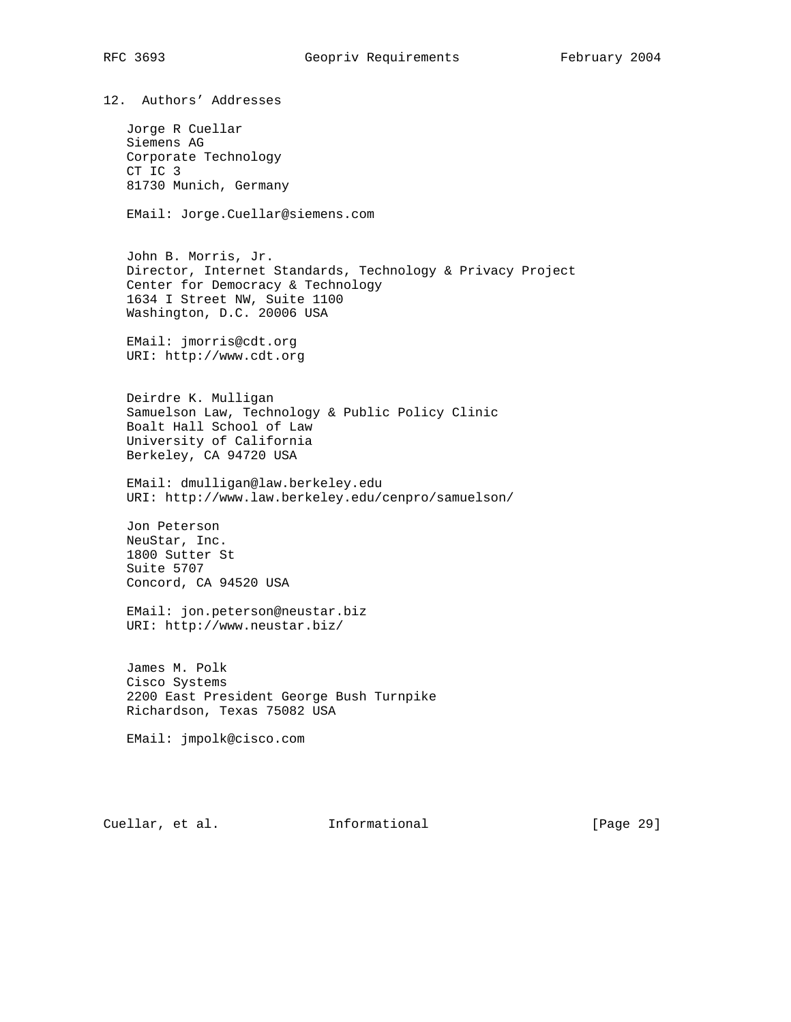12. Authors' Addresses

 Jorge R Cuellar Siemens AG Corporate Technology CT IC 3 81730 Munich, Germany

EMail: Jorge.Cuellar@siemens.com

 John B. Morris, Jr. Director, Internet Standards, Technology & Privacy Project Center for Democracy & Technology 1634 I Street NW, Suite 1100 Washington, D.C. 20006 USA

 EMail: jmorris@cdt.org URI: http://www.cdt.org

 Deirdre K. Mulligan Samuelson Law, Technology & Public Policy Clinic Boalt Hall School of Law University of California Berkeley, CA 94720 USA

 EMail: dmulligan@law.berkeley.edu URI: http://www.law.berkeley.edu/cenpro/samuelson/

 Jon Peterson NeuStar, Inc. 1800 Sutter St Suite 5707 Concord, CA 94520 USA

 EMail: jon.peterson@neustar.biz URI: http://www.neustar.biz/

 James M. Polk Cisco Systems 2200 East President George Bush Turnpike Richardson, Texas 75082 USA

EMail: jmpolk@cisco.com

Cuellar, et al. 1nformational [Page 29]